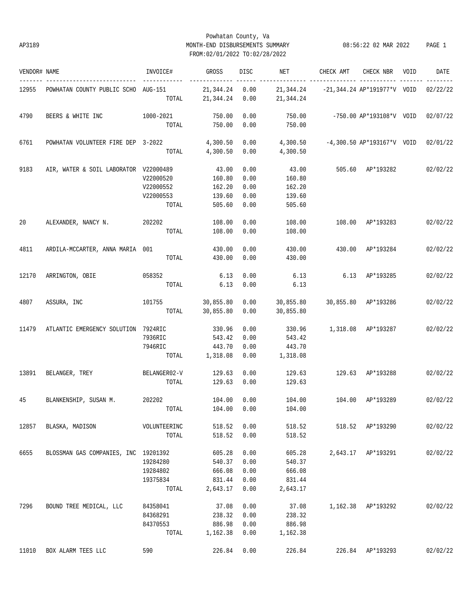## Powhatan County, Va AP3189 MONTH-END DISBURSEMENTS SUMMARY 08:56:22 02 MAR 2022 PAGE 1 FROM:02/01/2022 TO:02/28/2022

| VENDOR# NAME |                                       | INVOICE#              | GROSS                       | DISC         | NET       | CHECK AMT                                        | CHECK NBR VOID                        | DATE     |
|--------------|---------------------------------------|-----------------------|-----------------------------|--------------|-----------|--------------------------------------------------|---------------------------------------|----------|
| 12955        | POWHATAN COUNTY PUBLIC SCHO AUG-151   | TOTAL                 | 21,344.24 0.00<br>21,344.24 | 0.00         | 21,344.24 | $21,344.24$ -21,344.24 AP*191977*V VOID 02/22/22 |                                       |          |
| 4790         | BEERS & WHITE INC                     | 1000-2021             | 750.00                      | 0.00         | 750.00    | $-750.00$ AP*193108*V VOID 02/07/22              |                                       |          |
|              |                                       | TOTAL                 | 750.00                      | 0.00         | 750.00    |                                                  |                                       |          |
| 6761         | POWHATAN VOLUNTEER FIRE DEP 3-2022    |                       | 4,300.50                    | 0.00         | 4,300.50  |                                                  | $-4,300.50$ AP*193167*V VOID 02/01/22 |          |
|              |                                       | TOTAL                 | 4,300.50                    | 0.00         | 4,300.50  |                                                  |                                       |          |
| 9183         | AIR, WATER & SOIL LABORATOR V22000489 |                       | 43.00                       | 0.00         | 43.00     |                                                  | 505.60 AP*193282                      | 02/02/22 |
|              |                                       | V22000520             | 160.80                      | 0.00         | 160.80    |                                                  |                                       |          |
|              |                                       | V22000552             | 162.20                      | 0.00         | 162.20    |                                                  |                                       |          |
|              |                                       | V22000553             | 139.60                      | 0.00         | 139.60    |                                                  |                                       |          |
|              |                                       | TOTAL                 | 505.60                      | 0.00         | 505.60    |                                                  |                                       |          |
| 20           | ALEXANDER, NANCY N. 202202            |                       | 108.00                      | 0.00         | 108.00    |                                                  | 108.00 AP*193283                      | 02/02/22 |
|              |                                       | TOTAL                 | 108.00                      | 0.00         | 108.00    |                                                  |                                       |          |
| 4811         | ARDILA-MCCARTER, ANNA MARIA 001       |                       | 430.00                      | 0.00         | 430.00    |                                                  | 430.00 AP*193284                      | 02/02/22 |
|              |                                       | TOTAL                 | 430.00                      | 0.00         | 430.00    |                                                  |                                       |          |
| 12170        | ARRINGTON, OBIE                       | 058352                | 6.13                        | 0.00         | 6.13      |                                                  | 6.13 AP*193285                        | 02/02/22 |
|              |                                       | TOTAL                 | 6.13                        | 0.00         | 6.13      |                                                  |                                       |          |
| 4807         | ASSURA, INC                           | 101755                | 30,855.80                   | 0.00         | 30,855.80 |                                                  | 30,855.80 AP*193286                   | 02/02/22 |
|              |                                       | TOTAL                 | 30,855.80                   | 0.00         | 30,855.80 |                                                  |                                       |          |
| 11479        | ATLANTIC EMERGENCY SOLUTION 7924RIC   |                       | 330.96                      | 0.00         | 330.96    |                                                  | 1,318.08 AP*193287                    | 02/02/22 |
|              |                                       | 7936RIC               | 543.42                      | 0.00         | 543.42    |                                                  |                                       |          |
|              |                                       | 7946RIC               | 443.70                      | 0.00         | 443.70    |                                                  |                                       |          |
|              |                                       | TOTAL                 | 1,318.08                    | 0.00         | 1,318.08  |                                                  |                                       |          |
| 13891        | BELANGER, TREY BELANGER02-V           |                       | 129.63                      | 0.00         | 129.63    | 129.63 AP*193288                                 |                                       | 02/02/22 |
|              |                                       | TOTAL                 | 129.63                      | 0.00         | 129.63    |                                                  |                                       |          |
| 45           | BLANKENSHIP, SUSAN M.                 | 202202                | 104.00                      | 0.00         | 104.00    | 104.00 AP*193289                                 |                                       | 02/02/22 |
|              |                                       | TOTAL                 | 104.00 0.00                 |              | 104.00    |                                                  |                                       |          |
|              |                                       |                       |                             |              | 518.52    |                                                  | 518.52 AP*193290                      |          |
| 12857        | BLASKA, MADISON                       | VOLUNTEERINC<br>TOTAL | 518.52<br>518.52            | 0.00<br>0.00 | 518.52    |                                                  |                                       | 02/02/22 |
|              |                                       |                       |                             |              |           |                                                  |                                       |          |
| 6655         | BLOSSMAN GAS COMPANIES, INC 19201392  |                       | 605.28                      | 0.00         | 605.28    |                                                  | 2,643.17 AP*193291                    | 02/02/22 |
|              |                                       | 19284280              | 540.37                      | 0.00         | 540.37    |                                                  |                                       |          |
|              |                                       | 19284802              | 666.08                      | 0.00         | 666.08    |                                                  |                                       |          |
|              |                                       | 19375834              | 831.44                      | 0.00         | 831.44    |                                                  |                                       |          |
|              |                                       | TOTAL                 | 2,643.17                    | 0.00         | 2,643.17  |                                                  |                                       |          |
| 7296         | BOUND TREE MEDICAL, LLC               | 84358041              | 37.08                       | 0.00         | 37.08     |                                                  | 1,162.38 AP*193292                    | 02/02/22 |
|              |                                       | 84368291              | 238.32                      | 0.00         | 238.32    |                                                  |                                       |          |
|              |                                       | 84370553              | 886.98                      | 0.00         | 886.98    |                                                  |                                       |          |
|              |                                       | TOTAL                 | 1,162.38                    | 0.00         | 1,162.38  |                                                  |                                       |          |
| 11010        | BOX ALARM TEES LLC                    | 590                   | 226.84                      | 0.00         | 226.84    | 226.84                                           | AP*193293                             | 02/02/22 |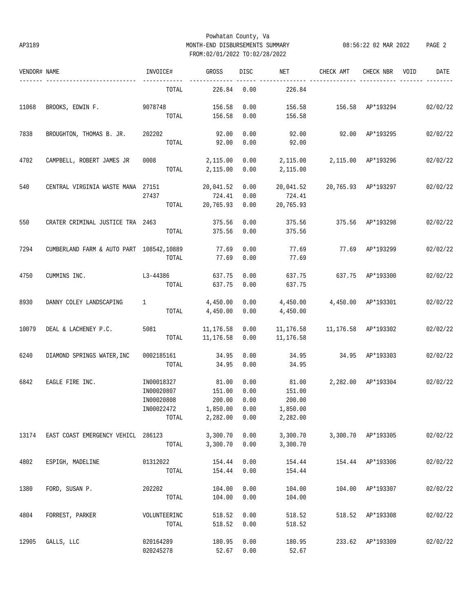## Powhatan County, Va AP3189 MONTH-END DISBURSEMENTS SUMMARY 08:56:22 02 MAR 2022 PAGE 2 FROM:02/01/2022 TO:02/28/2022

| VENDOR# NAME |                                          | INVOICE#     | <b>GROSS</b> | <b>DISC</b> | NET       | CHECK AMT                         | CHECK NBR          | VOID | DATE     |
|--------------|------------------------------------------|--------------|--------------|-------------|-----------|-----------------------------------|--------------------|------|----------|
|              | ----------------                         | TOTAL        | 226.84       | 0.00        | 226.84    |                                   |                    |      |          |
| 11068        | BROOKS, EDWIN F. 9078748                 |              | 156.58       | 0.00        | 156.58    | 156.58 AP*193294                  |                    |      | 02/02/22 |
|              |                                          | TOTAL        | 156.58       | 0.00        | 156.58    |                                   |                    |      |          |
| 7838         | BROUGHTON, THOMAS B. JR.                 | 202202       | 92.00        | 0.00        | 92.00     | 92.00                             | AP*193295          |      | 02/02/22 |
|              |                                          | TOTAL        | 92.00        | 0.00        | 92.00     |                                   |                    |      |          |
| 4702         | CAMPBELL, ROBERT JAMES JR                | 0008         | 2,115.00     | 0.00        | 2,115.00  |                                   | 2,115.00 AP*193296 |      | 02/02/22 |
|              |                                          | TOTAL        | 2,115.00     | 0.00        | 2,115.00  |                                   |                    |      |          |
| 540          | CENTRAL VIRGINIA WASTE MANA 27151        |              | 20,041.52    | 0.00        | 20,041.52 | 20,765.93 AP*193297               |                    |      | 02/02/22 |
|              |                                          | 27437        | 724.41       | 0.00        | 724.41    |                                   |                    |      |          |
|              |                                          | TOTAL        | 20,765.93    | 0.00        | 20,765.93 |                                   |                    |      |          |
| 550          | CRATER CRIMINAL JUSTICE TRA 2463         |              | 375.56       | 0.00        | 375.56    |                                   | 375.56 AP*193298   |      | 02/02/22 |
|              |                                          | TOTAL        | 375.56       | 0.00        | 375.56    |                                   |                    |      |          |
| 7294         | CUMBERLAND FARM & AUTO PART 108542,10889 |              | 77.69        | 0.00        | 77.69     |                                   | 77.69 AP*193299    |      | 02/02/22 |
|              |                                          | TOTAL        | 77.69        | 0.00        | 77.69     |                                   |                    |      |          |
| 4750         | CUMMINS INC.                             | L3-44386     | 637.75       | 0.00        | 637.75    | 637.75 AP*193300                  |                    |      | 02/02/22 |
|              |                                          | TOTAL        | 637.75       | 0.00        | 637.75    |                                   |                    |      |          |
| 8930         | DANNY COLEY LANDSCAPING                  | 1            | 4,450.00     | 0.00        | 4,450.00  |                                   | 4,450.00 AP*193301 |      | 02/02/22 |
|              |                                          | TOTAL        | 4,450.00     | 0.00        | 4,450.00  |                                   |                    |      |          |
| 10079        | DEAL & LACHENEY P.C.                     | 5081         | 11,176.58    | 0.00        |           | 11,176.58   11,176.58   AP*193302 |                    |      | 02/02/22 |
|              |                                          | TOTAL        | 11,176.58    | 0.00        | 11,176.58 |                                   |                    |      |          |
| 6240         | DIAMOND SPRINGS WATER, INC               | 0002185161   | 34.95        | 0.00        | 34.95     | 34.95                             | AP*193303          |      | 02/02/22 |
|              |                                          | TOTAL        | 34.95        | 0.00        | 34.95     |                                   |                    |      |          |
| 6842         | EAGLE FIRE INC.                          | IN00018327   | 81.00        | 0.00        | 81.00     |                                   | 2,282.00 AP*193304 |      | 02/02/22 |
|              |                                          | IN00020807   | 151.00       | 0.00        | 151.00    |                                   |                    |      |          |
|              |                                          | IN00020808   | 200.00       | 0.00        | 200.00    |                                   |                    |      |          |
|              |                                          | IN00022472   | 1,850.00     | 0.00        | 1,850.00  |                                   |                    |      |          |
|              |                                          | TOTAL        | 2,282.00     | 0.00        | 2,282.00  |                                   |                    |      |          |
| 13174        | EAST COAST EMERGENCY VEHICL 286123       |              | 3,300.70     | 0.00        | 3,300.70  |                                   | 3,300.70 AP*193305 |      | 02/02/22 |
|              |                                          | TOTAL        | 3,300.70     | 0.00        | 3,300.70  |                                   |                    |      |          |
| 4802         | ESPIGH, MADELINE                         | 01312022     | 154.44       | 0.00        | 154.44    |                                   | 154.44 AP*193306   |      | 02/02/22 |
|              |                                          | TOTAL        | 154.44       | 0.00        | 154.44    |                                   |                    |      |          |
| 1380         | FORD, SUSAN P.                           | 202202       | 104.00       | 0.00        | 104.00    |                                   | 104.00 AP*193307   |      | 02/02/22 |
|              |                                          | TOTAL        | 104.00       | 0.00        | 104.00    |                                   |                    |      |          |
| 4804         | FORREST, PARKER                          | VOLUNTEERINC | 518.52       | 0.00        | 518.52    |                                   | 518.52 AP*193308   |      | 02/02/22 |
|              |                                          | TOTAL        | 518.52       | 0.00        | 518.52    |                                   |                    |      |          |
| 12905        | GALLS, LLC                               | 020164289    | 180.95       | 0.00        | 180.95    |                                   | 233.62 AP*193309   |      | 02/02/22 |
|              |                                          | 020245278    | 52.67        | 0.00        | 52.67     |                                   |                    |      |          |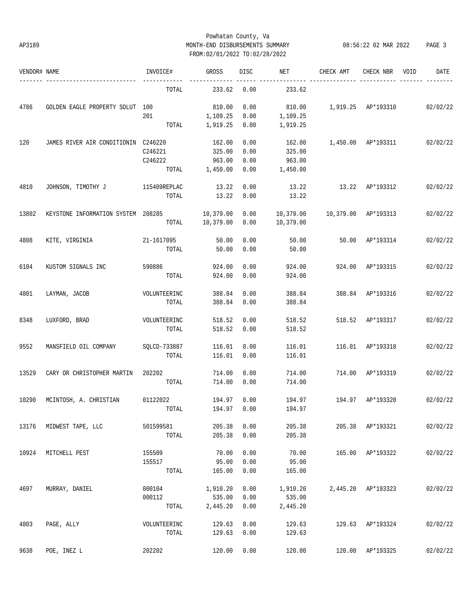## Powhatan County, Va AP3189 MONTH-END DISBURSEMENTS SUMMARY 08:56:22 02 MAR 2022 PAGE 3 FROM:02/01/2022 TO:02/28/2022

| VENDOR# NAME |                                     | INVOICE#     | GROSS     | DISC | NET       | CHECK AMT           | CHECK NBR          | VOID | DATE     |
|--------------|-------------------------------------|--------------|-----------|------|-----------|---------------------|--------------------|------|----------|
|              | -----------------                   | TOTAL        | 233.62    | 0.00 | 233.62    |                     |                    |      |          |
| 4786         | GOLDEN EAGLE PROPERTY SOLUT 100     |              | 810.00    | 0.00 | 810.00    | 1,919.25 AP*193310  |                    |      | 02/02/22 |
|              |                                     | 201          | 1,109.25  | 0.00 | 1,109.25  |                     |                    |      |          |
|              |                                     | TOTAL        | 1,919.25  | 0.00 | 1,919.25  |                     |                    |      |          |
| 120          | JAMES RIVER AIR CONDITIONIN C246220 |              | 162.00    | 0.00 | 162.00    |                     | 1,450.00 AP*193311 |      | 02/02/22 |
|              |                                     | C246221      | 325.00    | 0.00 | 325.00    |                     |                    |      |          |
|              |                                     | C246222      | 963.00    | 0.00 | 963.00    |                     |                    |      |          |
|              |                                     | TOTAL        | 1,450.00  | 0.00 | 1,450.00  |                     |                    |      |          |
| 4810         | JOHNSON, TIMOTHY J                  | 115409REPLAC | 13.22     | 0.00 | 13.22     | 13.22               | AP*193312          |      | 02/02/22 |
|              |                                     | TOTAL        | 13.22     | 0.00 | 13.22     |                     |                    |      |          |
| 13802        | KEYSTONE INFORMATION SYSTEM 208285  |              | 10,379.00 | 0.00 | 10,379.00 | 10,379.00 AP*193313 |                    |      | 02/02/22 |
|              |                                     | TOTAL        | 10,379.00 | 0.00 | 10,379.00 |                     |                    |      |          |
| 4808         | KITE, VIRGINIA                      | 21-1617095   | 50.00     | 0.00 | 50.00     | 50.00               | AP*193314          |      | 02/02/22 |
|              |                                     | TOTAL        | 50.00     | 0.00 | 50.00     |                     |                    |      |          |
| 6104         | KUSTOM SIGNALS INC                  | 590886       | 924.00    | 0.00 | 924.00    | 924.00              | AP*193315          |      | 02/02/22 |
|              |                                     | TOTAL        | 924.00    | 0.00 | 924.00    |                     |                    |      |          |
| 4801         | LAYMAN, JACOB                       | VOLUNTEERINC | 388.84    | 0.00 | 388.84    | 388.84              | AP*193316          |      | 02/02/22 |
|              |                                     | TOTAL        | 388.84    | 0.00 | 388.84    |                     |                    |      |          |
| 8348         | LUXFORD, BRAD                       | VOLUNTEERINC | 518.52    | 0.00 | 518.52    |                     | 518.52 AP*193317   |      | 02/02/22 |
|              |                                     | TOTAL        | 518.52    | 0.00 | 518.52    |                     |                    |      |          |
| 9552         | MANSFIELD OIL COMPANY               | SQLCD-733887 | 116.01    | 0.00 | 116.01    |                     | 116.01 AP*193318   |      | 02/02/22 |
|              |                                     | TOTAL        | 116.01    | 0.00 | 116.01    |                     |                    |      |          |
| 13529        | CARY OR CHRISTOPHER MARTIN          | 202202       | 714.00    | 0.00 | 714.00    | 714.00              | AP*193319          |      | 02/02/22 |
|              |                                     | TOTAL        | 714.00    | 0.00 | 714.00    |                     |                    |      |          |
| 10290        | MCINTOSH, A. CHRISTIAN              | 01122022     | 194.97    | 0.00 | 194.97    | 194.97              | AP*193320          |      | 02/02/22 |
|              |                                     | TOTAL        | 194.97    | 0.00 | 194.97    |                     |                    |      |          |
| 13176        | MIDWEST TAPE, LLC                   | 501599581    | 205.38    | 0.00 | 205.38    |                     | 205.38 AP*193321   |      | 02/02/22 |
|              |                                     | TOTAL        | 205.38    | 0.00 | 205.38    |                     |                    |      |          |
| 10924        | MITCHELL PEST                       | 155509       | 70.00     | 0.00 | 70.00     |                     | 165.00 AP*193322   |      | 02/02/22 |
|              |                                     | 155517       | 95.00     | 0.00 | 95.00     |                     |                    |      |          |
|              |                                     | TOTAL        | 165.00    | 0.00 | 165.00    |                     |                    |      |          |
| 4697         | MURRAY, DANIEL                      | 000104       | 1,910.20  | 0.00 | 1,910.20  | 2,445.20            | AP*193323          |      | 02/02/22 |
|              |                                     | 000112       | 535.00    | 0.00 | 535.00    |                     |                    |      |          |
|              |                                     | TOTAL        | 2,445.20  | 0.00 | 2,445.20  |                     |                    |      |          |
| 4803         | PAGE, ALLY                          | VOLUNTEERINC | 129.63    | 0.00 | 129.63    |                     | 129.63 AP*193324   |      | 02/02/22 |
|              |                                     | TOTAL        | 129.63    | 0.00 | 129.63    |                     |                    |      |          |
| 9638         | POE, INEZ L                         | 202202       | 120.00    | 0.00 | 120.00    |                     | 120.00 AP*193325   |      | 02/02/22 |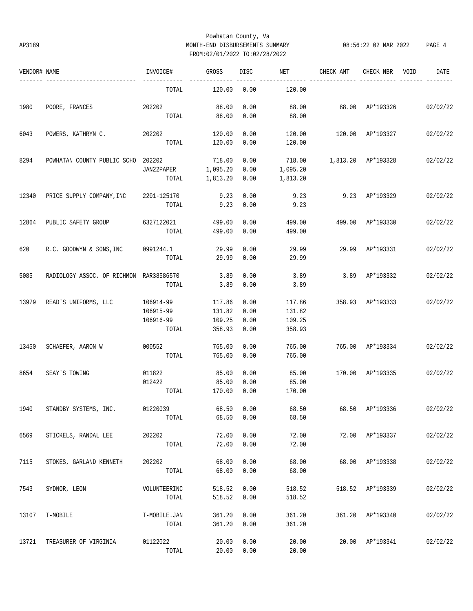## Powhatan County, Va AP3189 MONTH-END DISBURSEMENTS SUMMARY 08:56:22 02 MAR 2022 PAGE 4 FROM:02/01/2022 TO:02/28/2022

| VENDOR# NAME |                                            | INVOICE#     | GROSS      | DISC | NET      | CHECK AMT                      | CHECK NBR        | VOID | DATE     |
|--------------|--------------------------------------------|--------------|------------|------|----------|--------------------------------|------------------|------|----------|
|              | -----------------------                    | TOTAL        | 120.00     | 0.00 | 120.00   |                                |                  |      |          |
| 1980         | POORE, FRANCES                             | 202202       | 88.00      | 0.00 | 88.00    | 88.00 AP*193326 02/02/22       |                  |      |          |
|              |                                            | TOTAL        | 88.00      | 0.00 | 88.00    |                                |                  |      |          |
| 6043         | POWERS, KATHRYN C. 202202                  |              | 120.00     | 0.00 | 120.00   | 120.00 AP*193327               |                  |      | 02/02/22 |
|              |                                            | TOTAL        | 120.00     | 0.00 | 120.00   |                                |                  |      |          |
| 8294         | POWHATAN COUNTY PUBLIC SCHO 202202         |              | 718.00     | 0.00 |          |                                |                  |      | 02/02/22 |
|              |                                            | JAN22PAPER   | 1,095.20   | 0.00 | 1,095.20 |                                |                  |      |          |
|              |                                            | TOTAL        | 1,813.20   | 0.00 | 1,813.20 |                                |                  |      |          |
| 12340        | PRICE SUPPLY COMPANY, INC 2201-125170 9.23 |              |            | 0.00 | 9.23     |                                | 9.23 AP*193329   |      | 02/02/22 |
|              |                                            | TOTAL        | 9.23       | 0.00 | 9.23     |                                |                  |      |          |
| 12864        | PUBLIC SAFETY GROUP 6327122021 499.00      |              |            | 0.00 | 499.00   | 499.00 AP*193330               |                  |      | 02/02/22 |
|              |                                            | TOTAL        | 499.00     | 0.00 | 499.00   |                                |                  |      |          |
| 620          | R.C. GOODWYN & SONS, INC 0991244.1         |              | 29.99      | 0.00 | 29.99    |                                | 29.99 AP*193331  |      | 02/02/22 |
|              |                                            | TOTAL        | 29.99      | 0.00 | 29.99    |                                |                  |      |          |
| 5085         | RADIOLOGY ASSOC. OF RICHMON RAR38586570    |              | 3.89       | 0.00 | 3.89     |                                | 3.89 AP*193332   |      | 02/02/22 |
|              |                                            | TOTAL        | 3.89       | 0.00 | 3.89     |                                |                  |      |          |
| 13979        | READ'S UNIFORMS, LLC                       | 106914-99    | 117.86     | 0.00 | 117.86   | 358.93 AP*193333               |                  |      | 02/02/22 |
|              |                                            | 106915-99    | 131.82     | 0.00 | 131.82   |                                |                  |      |          |
|              |                                            | 106916-99    | 109.25     | 0.00 | 109.25   |                                |                  |      |          |
|              |                                            | TOTAL        | 358.93     | 0.00 | 358.93   |                                |                  |      |          |
| 13450        | SCHAEFER, AARON W                          | 000552       | 765.00     | 0.00 | 765.00   |                                | 765.00 AP*193334 |      | 02/02/22 |
|              |                                            | TOTAL        | 765.00     | 0.00 | 765.00   |                                |                  |      |          |
| 8654         | SEAY'S TOWING                              | 011822       | 85.00      | 0.00 | 85.00    | 170.00 AP*193335               |                  |      | 02/02/22 |
|              |                                            | 012422       | 85.00      | 0.00 | 85.00    |                                |                  |      |          |
|              |                                            | TOTAL        | 170.00     | 0.00 | 170.00   |                                |                  |      |          |
| 1940         | STANDBY SYSTEMS, INC. 01220039             |              | 68.50 0.00 |      |          | 68.50 68.50 AP*193336 02/02/22 |                  |      |          |
|              |                                            | TOTAL        | 68.50      | 0.00 | 68.50    |                                |                  |      |          |
| 6569         | STICKELS, RANDAL LEE                       | 202202       | 72.00      | 0.00 | 72.00    |                                | 72.00 AP*193337  |      | 02/02/22 |
|              |                                            | TOTAL        | 72.00      | 0.00 | 72.00    |                                |                  |      |          |
| 7115         | STOKES, GARLAND KENNETH                    | 202202       | 68.00      | 0.00 | 68.00    |                                | 68.00 AP*193338  |      | 02/02/22 |
|              |                                            | TOTAL        | 68.00      | 0.00 | 68.00    |                                |                  |      |          |
| 7543         | SYDNOR, LEON                               | VOLUNTEERINC | 518.52     | 0.00 | 518.52   |                                | 518.52 AP*193339 |      | 02/02/22 |
|              |                                            | TOTAL        | 518.52     | 0.00 | 518.52   |                                |                  |      |          |
| 13107        | T-MOBILE                                   | T-MOBILE.JAN | 361.20     | 0.00 | 361.20   |                                | 361.20 AP*193340 |      | 02/02/22 |
|              |                                            | TOTAL        | 361.20     | 0.00 | 361.20   |                                |                  |      |          |
| 13721        | TREASURER OF VIRGINIA                      | 01122022     | 20.00      | 0.00 | 20.00    |                                | 20.00 AP*193341  |      | 02/02/22 |
|              |                                            | TOTAL        | 20.00      | 0.00 | 20.00    |                                |                  |      |          |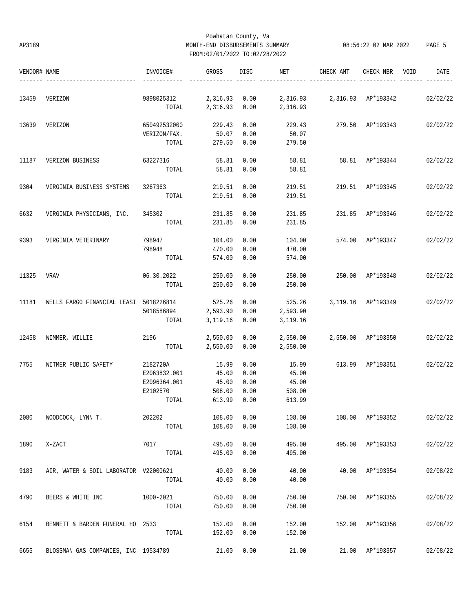## Powhatan County, Va AP3189 MONTH-END DISBURSEMENTS SUMMARY 08:56:22 02 MAR 2022 PAGE 5 FROM:02/01/2022 TO:02/28/2022

| VENDOR# NAME |                                                     | INVOICE#                                                      | GROSS                |      | DISC NET                                | CHECK AMT                        | CHECK NBR        | VOID | DATE     |
|--------------|-----------------------------------------------------|---------------------------------------------------------------|----------------------|------|-----------------------------------------|----------------------------------|------------------|------|----------|
| 13459        | VERIZON                                             | 9898025312 2,316.93 0.00 2,316.93 2,316.93 AP*193342 02/02/22 |                      |      |                                         |                                  |                  |      |          |
|              |                                                     |                                                               |                      |      | TOTAL 2,316.93 0.00 2,316.93            |                                  |                  |      |          |
| 13639        | VERIZON                                             | 650492532000 229.43 0.00                                      |                      |      |                                         | 229.43 279.50 AP*193343 02/02/22 |                  |      |          |
|              |                                                     | VERIZON/FAX.                                                  | 50.07                | 0.00 | 50.07                                   |                                  |                  |      |          |
|              |                                                     |                                                               | TOTAL 279.50         | 0.00 | 279.50                                  |                                  |                  |      |          |
| 11187        | VERIZON BUSINESS 63227316                           |                                                               | 58.81                | 0.00 |                                         | 58.81 58.81 AP*193344 02/02/22   |                  |      |          |
|              |                                                     | TOTAL                                                         | 58.81 0.00           |      | 58.81                                   |                                  |                  |      |          |
| 9304         | VIRGINIA BUSINESS SYSTEMS                           | 3267363 219.51                                                |                      | 0.00 |                                         | 219.51 219.51 AP*193345 02/02/22 |                  |      |          |
|              |                                                     |                                                               | TOTAL 219.51 0.00    |      | 219.51                                  |                                  |                  |      |          |
| 6632         | VIRGINIA PHYSICIANS, INC. 345302 231.85             |                                                               |                      | 0.00 |                                         | 231.85 231.85 AP*193346 02/02/22 |                  |      |          |
|              |                                                     |                                                               | TOTAL 231.85 0.00    |      | 231.85                                  |                                  |                  |      |          |
| 9393         | VIRGINIA VETERINARY                                 | 798947                                                        | 104.00               | 0.00 | 104.00                                  | 574.00 AP*193347 02/02/22        |                  |      |          |
|              |                                                     | 798948                                                        | 470.00               | 0.00 | 470.00                                  |                                  |                  |      |          |
|              |                                                     | TOTAL                                                         | 574.00               | 0.00 | 574.00                                  |                                  |                  |      |          |
| 11325        | VRAV                                                | 06.30.2022                                                    | 250.00 0.00          |      | 250.00                                  | 250.00 AP*193348 02/02/22        |                  |      |          |
|              |                                                     | TOTAL                                                         | 250.00               | 0.00 | 250.00                                  |                                  |                  |      |          |
|              | 11181 WELLS FARGO FINANCIAL LEASI 5018226814 525.26 |                                                               |                      | 0.00 | 525.26 3,119.16 AP*193349 02/02/22      |                                  |                  |      |          |
|              |                                                     | 5018586894 2,593.90 0.00 2,593.90                             |                      |      |                                         |                                  |                  |      |          |
|              |                                                     |                                                               | TOTAL 3, 119.16 0.00 |      | 3,119.16                                |                                  |                  |      |          |
| 12458        | WIMMER, WILLIE 2196 2,550.00 0.00                   |                                                               |                      |      | 2,550.00  2,550.00  AP*193350  02/02/22 |                                  |                  |      |          |
|              |                                                     |                                                               | TOTAL 2,550.00 0.00  |      | 2,550.00                                |                                  |                  |      |          |
| 7755         | WITMER PUBLIC SAFETY                                | 2182720A                                                      | 15.99                | 0.00 |                                         | 15.99 613.99 AP*193351 02/02/22  |                  |      |          |
|              |                                                     | E2063832.001                                                  | 45.00                | 0.00 | 45.00                                   |                                  |                  |      |          |
|              |                                                     | E2096364.001                                                  | 45.00                | 0.00 | 45.00                                   |                                  |                  |      |          |
|              |                                                     | E2102570                                                      | 508.00               | 0.00 | 508.00                                  |                                  |                  |      |          |
|              |                                                     |                                                               | TOTAL 613.99 0.00    |      | 613.99                                  |                                  |                  |      |          |
| 2080         | WOODCOCK, LYNN T.                                   | 202202                                                        | 108.00               | 0.00 | 108.00                                  |                                  | 108.00 AP*193352 |      | 02/02/22 |
|              |                                                     | TOTAL                                                         | 108.00               | 0.00 | 108.00                                  |                                  |                  |      |          |
| 1890         | X-ZACT                                              | 7017                                                          | 495.00               | 0.00 | 495.00                                  |                                  | 495.00 AP*193353 |      | 02/02/22 |
|              |                                                     | TOTAL                                                         | 495.00               | 0.00 | 495.00                                  |                                  |                  |      |          |
| 9183         | AIR, WATER & SOIL LABORATOR V22000621               |                                                               | 40.00                | 0.00 | 40.00                                   |                                  | 40.00 AP*193354  |      | 02/08/22 |
|              |                                                     | TOTAL                                                         | 40.00                | 0.00 | 40.00                                   |                                  |                  |      |          |
| 4790         | BEERS & WHITE INC                                   | 1000-2021                                                     | 750.00               | 0.00 | 750.00                                  |                                  | 750.00 AP*193355 |      | 02/08/22 |
|              |                                                     | TOTAL                                                         | 750.00               | 0.00 | 750.00                                  |                                  |                  |      |          |
| 6154         | BENNETT & BARDEN FUNERAL HO 2533                    |                                                               | 152.00               | 0.00 | 152.00                                  |                                  | 152.00 AP*193356 |      | 02/08/22 |
|              |                                                     | TOTAL                                                         | 152.00               | 0.00 | 152.00                                  |                                  |                  |      |          |
| 6655         | BLOSSMAN GAS COMPANIES, INC 19534789                |                                                               | 21.00                | 0.00 | 21.00                                   |                                  | 21.00 AP*193357  |      | 02/08/22 |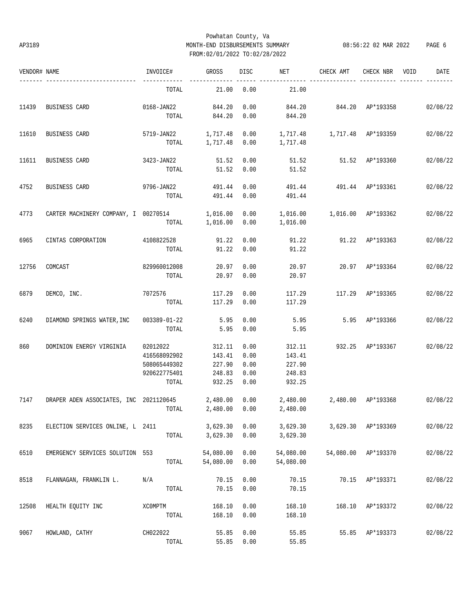## Powhatan County, Va AP3189 MONTH-END DISBURSEMENTS SUMMARY 08:56:22 02 MAR 2022 PAGE 6 FROM:02/01/2022 TO:02/28/2022

| VENDOR# NAME |                                                 | INVOICE#                                                          | GROSS                                          | DISC                                 | <b>NET</b>                                     | CHECK AMT                 | CHECK NBR VOID      | DATE     |
|--------------|-------------------------------------------------|-------------------------------------------------------------------|------------------------------------------------|--------------------------------------|------------------------------------------------|---------------------------|---------------------|----------|
|              | ------------------------                        | TOTAL                                                             | 21.00                                          | <br>0.00                             | 21.00                                          |                           |                     |          |
| 11439        | BUSINESS CARD                                   | 0168-JAN22 844.20<br>TOTAL                                        | 844.20                                         | 0.00<br>0.00                         | 844.20<br>844.20                               | 844.20 AP*193358 02/08/22 |                     |          |
| 11610        | BUSINESS CARD                                   | 5719-JAN22<br>TOTAL                                               | 1,717.48<br>1,717.48 0.00                      | 0.00                                 | 1,717.48   1,717.48   AP*193359<br>1,717.48    |                           |                     | 02/08/22 |
| 11611        | BUSINESS CARD                                   | 3423-JAN22<br>TOTAL                                               | 51.52<br>51.52                                 | 0.00<br>0.00                         | 51.52                                          | 51.52 51.52 AP*193360     |                     | 02/08/22 |
| 4752         | BUSINESS CARD                                   | 9796-JAN22 491.44<br>TOTAL                                        | 491.44                                         | 0.00<br>0.00                         | 491.44                                         | 491.44 491.44 AP*193361   |                     | 02/08/22 |
| 4773         | CARTER MACHINERY COMPANY, I 00270514            | TOTAL                                                             | 1,016.00<br>1,016.00                           | 0.00<br>0.00                         | 1,016.00<br>1,016.00                           | 1,016.00 AP*193362        |                     | 02/08/22 |
| 6965         | CINTAS CORPORATION 4108822528                   | TOTAL                                                             | 91.22<br>91.22                                 | 0.00<br>0.00                         | 91.22<br>91.22                                 | 91.22 AP*193363           |                     | 02/08/22 |
| 12756        | COMCAST                                         | 829960012008<br>TOTAL                                             | 20.97<br>20.97                                 | 0.00<br>0.00                         | 20.97<br>20.97                                 | 20.97 AP*193364           |                     | 02/08/22 |
| 6879         | DEMCO, INC.                                     | 7072576<br>TOTAL                                                  | 117.29<br>117.29                               | 0.00<br>0.00                         | 117.29<br>117.29                               | 117.29 AP*193365          |                     | 02/08/22 |
| 6240         | DIAMOND SPRINGS WATER, INC 003389-01-22         | TOTAL                                                             | 5.95<br>5.95                                   | 0.00<br>0.00                         | 5.95<br>5.95                                   |                           | 5.95 AP*193366      | 02/08/22 |
| 860          | DOMINION ENERGY VIRGINIA                        | 02012022<br>416568092902<br>508065449302<br>920622775401<br>TOTAL | 312.11<br>143.41<br>227.90<br>248.83<br>932.25 | 0.00<br>0.00<br>0.00<br>0.00<br>0.00 | 312.11<br>143.41<br>227.90<br>248.83<br>932.25 | 932.25 AP*193367          |                     | 02/08/22 |
| 7147         | DRAPER ADEN ASSOCIATES, INC 2021120645 2,480.00 | TOTAL 2,480.00 0.00 2,480.00                                      |                                                | 0.00                                 | 2,480.00  2,480.00  AP*193368  02/08/22        |                           |                     |          |
| 8235         | ELECTION SERVICES ONLINE, L 2411                | TOTAL                                                             | 3,629.30<br>3,629.30                           | 0.00<br>0.00                         | 3,629.30<br>3,629.30                           |                           | 3,629.30 AP*193369  | 02/08/22 |
| 6510         | EMERGENCY SERVICES SOLUTION 553                 | TOTAL                                                             | 54,080.00<br>54,080.00                         | 0.00<br>0.00                         | 54,080.00<br>54,080.00                         |                           | 54,080.00 AP*193370 | 02/08/22 |
| 8518         | FLANNAGAN, FRANKLIN L.                          | N/A<br>TOTAL                                                      | 70.15<br>70.15                                 | 0.00<br>0.00                         | 70.15<br>70.15                                 | 70.15                     | AP*193371           | 02/08/22 |
| 12508        | HEALTH EQUITY INC                               | XCOMPTM<br>TOTAL                                                  | 168.10<br>168.10                               | 0.00<br>0.00                         | 168.10<br>168.10                               | 168.10                    | AP*193372           | 02/08/22 |
| 9067         | HOWLAND, CATHY                                  | CH022022<br>TOTAL                                                 | 55.85<br>55.85                                 | 0.00<br>0.00                         | 55.85<br>55.85                                 |                           | 55.85 AP*193373     | 02/08/22 |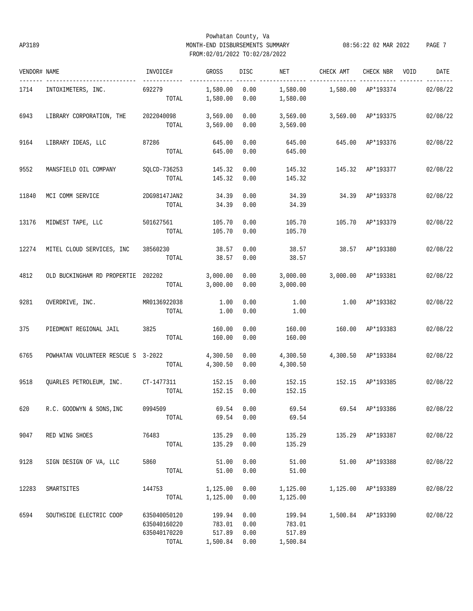## Powhatan County, Va AP3189 MONTH-END DISBURSEMENTS SUMMARY 08:56:22 02 MAR 2022 PAGE 7 FROM:02/01/2022 TO:02/28/2022

| VENDOR# NAME |                                      | INVOICE#                                              | GROSS                                       | DISC                 | NET                                    | CHECK AMT                         | CHECK NBR VOID     | DATE              |
|--------------|--------------------------------------|-------------------------------------------------------|---------------------------------------------|----------------------|----------------------------------------|-----------------------------------|--------------------|-------------------|
| 1714         | INTOXIMETERS, INC.                   | 692279<br>TOTAL                                       | 1,580.00 0.00<br>1,580.00                   | 0.00                 | 1,580.00                               | 1,580.00   1,580.00   AP*193374   |                    | -----<br>02/08/22 |
| 6943         | LIBRARY CORPORATION, THE             | 2022040098<br>TOTAL                                   | 3,569.00<br>3,569.00                        | 0.00<br>0.00         | 3,569.00<br>3,569.00                   |                                   | 3,569.00 AP*193375 | 02/08/22          |
| 9164         | LIBRARY IDEAS, LLC                   | 87286<br>TOTAL                                        | 645.00<br>645.00                            | 0.00<br>0.00         | 645.00<br>645.00                       |                                   | 645.00 AP*193376   | 02/08/22          |
| 9552         | MANSFIELD OIL COMPANY                | SOLCD-736253<br>TOTAL                                 | 145.32<br>145.32                            | 0.00<br>0.00         | 145.32<br>145.32                       |                                   | 145.32 AP*193377   | 02/08/22          |
| 11840        | MCI COMM SERVICE                     | 2DG98147JAN2<br>TOTAL                                 | 34.39<br>34.39                              | 0.00<br>0.00         | 34.39<br>34.39                         |                                   | 34.39 AP*193378    | 02/08/22          |
| 13176        | MIDWEST TAPE, LLC                    | 501627561<br>TOTAL                                    | 105.70<br>105.70                            | 0.00<br>0.00         | 105.70<br>105.70                       | 105.70 AP*193379                  |                    | 02/08/22          |
| 12274        | MITEL CLOUD SERVICES, INC            | 38560230<br>TOTAL                                     | 38.57<br>38.57                              | 0.00<br>0.00         | 38.57<br>38.57                         | 38.57 AP*193380                   |                    | 02/08/22          |
| 4812         | OLD BUCKINGHAM RD PROPERTIE 202202   | TOTAL                                                 | 3,000.00<br>3,000.00                        | 0.00<br>0.00         | 3,000.00<br>3,000.00                   |                                   | 3,000.00 AP*193381 | 02/08/22          |
| 9281         | OVERDRIVE, INC.                      | MR0136922038<br>TOTAL                                 | 1.00<br>1.00                                | 0.00<br>0.00         | 1.00<br>1.00                           |                                   | 1.00 AP*193382     | 02/08/22          |
| 375          | PIEDMONT REGIONAL JAIL               | 3825<br>TOTAL                                         | 160.00<br>160.00                            | 0.00<br>0.00         | 160.00<br>160.00                       | 160.00 AP*193383                  |                    | 02/08/22          |
| 6765         | POWHATAN VOLUNTEER RESCUE S 3-2022   | TOTAL                                                 | 4,300.50<br>4,300.50                        | 0.00<br>0.00         | 4,300.50<br>4,300.50                   |                                   | 4,300.50 AP*193384 | 02/08/22          |
| 9518         | QUARLES PETROLEUM, INC. CT-1477311   | TOTAL                                                 | 152.15<br>152.15                            | 0.00<br>0.00         | 152.15<br>152.15                       | 152.15 AP*193385                  |                    | 02/08/22          |
|              | 620 R.C. GOODWYN & SONS, INC 0994509 | TOTAL                                                 | $69.54$ 0.00<br>69.54                       | 0.00                 | 69.54                                  | 69.54 69.54 AP*193386 02/08/22    |                    |                   |
| 9047         | RED WING SHOES                       | 76483<br>TOTAL                                        | 135.29<br>135.29                            | 0.00<br>0.00         | 135.29<br>135.29                       | 135.29 AP*193387                  |                    | 02/08/22          |
| 9128         | SIGN DESIGN OF VA, LLC               | 5860<br>TOTAL                                         | 51.00<br>51.00                              | 0.00<br>0.00         | 51.00<br>51.00                         |                                   | 51.00 AP*193388    | 02/08/22          |
| 12283        | SMARTSITES                           | 144753<br>TOTAL                                       | 1,125.00<br>1,125.00                        | 0.00<br>0.00         | 1,125.00                               | 1,125.00    1,125.00    AP*193389 |                    | 02/08/22          |
| 6594         | SOUTHSIDE ELECTRIC COOP              | 635040050120<br>635040160220<br>635040170220<br>TOTAL | 199.94<br>783.01<br>517.89<br>1,500.84 0.00 | 0.00<br>0.00<br>0.00 | 199.94<br>783.01<br>517.89<br>1,500.84 |                                   | 1,500.84 AP*193390 | 02/08/22          |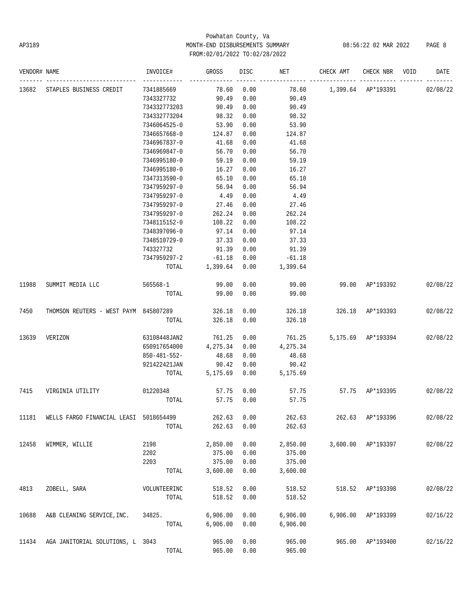# Powhatan County, Va AP3189 MONTH-END DISBURSEMENTS SUMMARY 08:56:22 02 MAR 2022 PAGE 8 FROM:02/01/2022 TO:02/28/2022

| VENDOR# NAME |                                        | INVOICE#     | GROSS    | DISC | NET      | CHECK AMT | CHECK NBR          | VOID | DATE     |
|--------------|----------------------------------------|--------------|----------|------|----------|-----------|--------------------|------|----------|
| 13682        | STAPLES BUSINESS CREDIT                | 7341885669   | 78.60    | 0.00 | 78.60    |           | 1,399.64 AP*193391 |      | 02/08/22 |
|              |                                        | 7343327732   | 90.49    | 0.00 | 90.49    |           |                    |      |          |
|              |                                        | 734332773203 | 90.49    | 0.00 | 90.49    |           |                    |      |          |
|              |                                        | 734332773204 | 98.32    | 0.00 | 98.32    |           |                    |      |          |
|              |                                        | 7346064525-0 | 53.90    | 0.00 | 53.90    |           |                    |      |          |
|              |                                        | 7346657668-0 | 124.87   | 0.00 | 124.87   |           |                    |      |          |
|              |                                        | 7346967837-0 | 41.68    | 0.00 | 41.68    |           |                    |      |          |
|              |                                        | 7346969847-0 | 56.70    | 0.00 | 56.70    |           |                    |      |          |
|              |                                        | 7346995180-0 | 59.19    | 0.00 | 59.19    |           |                    |      |          |
|              |                                        | 7346995180-0 | 16.27    | 0.00 | 16.27    |           |                    |      |          |
|              |                                        | 7347313590-0 | 65.10    | 0.00 | 65.10    |           |                    |      |          |
|              |                                        | 7347959297-0 | 56.94    | 0.00 | 56.94    |           |                    |      |          |
|              |                                        | 7347959297-0 | 4.49     | 0.00 | 4.49     |           |                    |      |          |
|              |                                        | 7347959297-0 | 27.46    | 0.00 | 27.46    |           |                    |      |          |
|              |                                        | 7347959297-0 | 262.24   | 0.00 | 262.24   |           |                    |      |          |
|              |                                        | 7348115152-0 | 108.22   | 0.00 | 108.22   |           |                    |      |          |
|              |                                        | 7348397096-0 | 97.14    | 0.00 | 97.14    |           |                    |      |          |
|              |                                        | 7348510729-0 | 37.33    | 0.00 | 37.33    |           |                    |      |          |
|              |                                        | 743327732    | 91.39    | 0.00 | 91.39    |           |                    |      |          |
|              |                                        | 7347959297-2 | $-61.18$ | 0.00 | $-61.18$ |           |                    |      |          |
|              |                                        | TOTAL        | 1,399.64 | 0.00 | 1,399.64 |           |                    |      |          |
|              |                                        |              |          |      |          |           |                    |      |          |
| 11988        | SUMMIT MEDIA LLC                       | 565568-1     | 99.00    | 0.00 | 99.00    |           | 99.00 AP*193392    |      | 02/08/22 |
|              |                                        | TOTAL        | 99.00    | 0.00 | 99.00    |           |                    |      |          |
| 7450         | THOMSON REUTERS - WEST PAYM 845807289  |              | 326.18   | 0.00 | 326.18   |           | 326.18 AP*193393   |      | 02/08/22 |
|              |                                        | TOTAL        | 326.18   | 0.00 | 326.18   |           |                    |      |          |
|              |                                        |              |          |      |          |           |                    |      |          |
| 13639        | VERIZON                                | 63108448JAN2 | 761.25   | 0.00 | 761.25   |           | 5,175.69 AP*193394 |      | 02/08/22 |
|              |                                        | 650917654000 | 4,275.34 | 0.00 | 4,275.34 |           |                    |      |          |
|              |                                        | 850-481-552- | 48.68    | 0.00 | 48.68    |           |                    |      |          |
|              |                                        | 921422421JAN | 90.42    | 0.00 | 90.42    |           |                    |      |          |
|              |                                        | TOTAL        | 5,175.69 | 0.00 | 5,175.69 |           |                    |      |          |
| 7415         | VIRGINIA UTILITY                       | 01220348     | 57.75    | 0.00 | 57.75    |           | 57.75 AP*193395    |      | 02/08/22 |
|              |                                        | TOTAL        | 57.75    | 0.00 | 57.75    |           |                    |      |          |
| 11181        | WELLS FARGO FINANCIAL LEASI 5018654499 |              | 262.63   | 0.00 | 262.63   |           | 262.63 AP*193396   |      | 02/08/22 |
|              |                                        | TOTAL        | 262.63   | 0.00 | 262.63   |           |                    |      |          |
|              |                                        |              |          |      |          |           |                    |      |          |
| 12458        | WIMMER, WILLIE                         | 2198         | 2,850.00 | 0.00 | 2,850.00 | 3,600.00  | AP*193397          |      | 02/08/22 |
|              |                                        | 2202         | 375.00   | 0.00 | 375.00   |           |                    |      |          |
|              |                                        | 2203         | 375.00   | 0.00 | 375.00   |           |                    |      |          |
|              |                                        | TOTAL        | 3,600.00 | 0.00 | 3,600.00 |           |                    |      |          |
|              |                                        |              |          |      |          |           |                    |      |          |
| 4813         | ZOBELL, SARA                           | VOLUNTEERINC | 518.52   | 0.00 | 518.52   | 518.52    | AP*193398          |      | 02/08/22 |
|              |                                        | TOTAL        | 518.52   | 0.00 | 518.52   |           |                    |      |          |
| 10688        | A&B CLEANING SERVICE, INC.             | 34825.       | 6,906.00 | 0.00 | 6,906.00 | 6,906.00  | AP*193399          |      | 02/16/22 |
|              |                                        | TOTAL        | 6,906.00 | 0.00 | 6,906.00 |           |                    |      |          |
|              |                                        |              |          |      |          |           |                    |      |          |
| 11434        | AGA JANITORIAL SOLUTIONS, L 3043       |              | 965.00   | 0.00 | 965.00   | 965.00    | AP*193400          |      | 02/16/22 |
|              |                                        | TOTAL        | 965.00   | 0.00 | 965.00   |           |                    |      |          |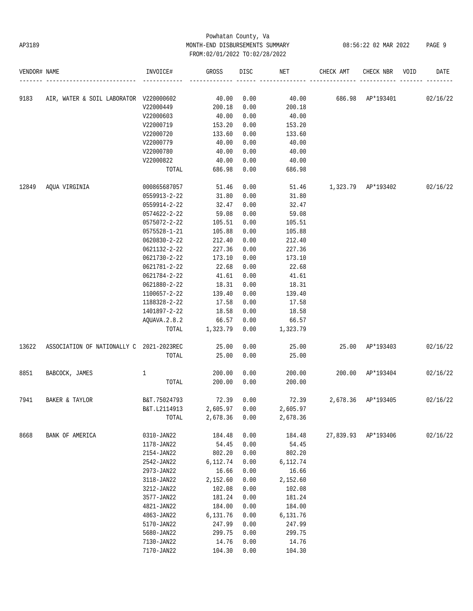# Powhatan County, Va AP3189 MONTH-END DISBURSEMENTS SUMMARY 08:56:22 02 MAR 2022 PAGE 9 FROM:02/01/2022 TO:02/28/2022

| VENDOR# NAME |                                          | INVOICE#     | GROSS    | DISC | NET      | CHECK AMT          | CHECK NBR           | VOID | DATE     |
|--------------|------------------------------------------|--------------|----------|------|----------|--------------------|---------------------|------|----------|
| 9183         | AIR, WATER & SOIL LABORATOR V220000602   |              | 40.00    | 0.00 | 40.00    | 686.98 AP*193401   |                     |      | 02/16/22 |
|              |                                          | V22000449    | 200.18   | 0.00 | 200.18   |                    |                     |      |          |
|              |                                          | V22000603    | 40.00    | 0.00 | 40.00    |                    |                     |      |          |
|              |                                          | V22000719    | 153.20   | 0.00 | 153.20   |                    |                     |      |          |
|              |                                          | V22000720    | 133.60   | 0.00 | 133.60   |                    |                     |      |          |
|              |                                          | V22000779    | 40.00    | 0.00 | 40.00    |                    |                     |      |          |
|              |                                          | V22000780    | 40.00    | 0.00 | 40.00    |                    |                     |      |          |
|              |                                          | V22000822    | 40.00    | 0.00 | 40.00    |                    |                     |      |          |
|              |                                          | TOTAL        | 686.98   | 0.00 | 686.98   |                    |                     |      |          |
| 12849        | AQUA VIRGINIA                            | 000865687057 | 51.46    | 0.00 | 51.46    | 1,323.79 AP*193402 |                     |      | 02/16/22 |
|              |                                          | 0559913-2-22 | 31.80    | 0.00 | 31.80    |                    |                     |      |          |
|              |                                          | 0559914-2-22 | 32.47    | 0.00 | 32.47    |                    |                     |      |          |
|              |                                          | 0574622-2-22 | 59.08    | 0.00 | 59.08    |                    |                     |      |          |
|              |                                          | 0575072-2-22 | 105.51   | 0.00 | 105.51   |                    |                     |      |          |
|              |                                          | 0575528-1-21 | 105.88   | 0.00 | 105.88   |                    |                     |      |          |
|              |                                          | 0620830-2-22 | 212.40   | 0.00 | 212.40   |                    |                     |      |          |
|              |                                          | 0621132-2-22 | 227.36   | 0.00 | 227.36   |                    |                     |      |          |
|              |                                          | 0621730-2-22 | 173.10   | 0.00 | 173.10   |                    |                     |      |          |
|              |                                          | 0621781-2-22 | 22.68    | 0.00 | 22.68    |                    |                     |      |          |
|              |                                          | 0621784-2-22 | 41.61    | 0.00 | 41.61    |                    |                     |      |          |
|              |                                          | 0621880-2-22 | 18.31    | 0.00 | 18.31    |                    |                     |      |          |
|              |                                          | 1100657-2-22 | 139.40   | 0.00 | 139.40   |                    |                     |      |          |
|              |                                          | 1188328-2-22 | 17.58    | 0.00 | 17.58    |                    |                     |      |          |
|              |                                          | 1401897-2-22 | 18.58    | 0.00 | 18.58    |                    |                     |      |          |
|              |                                          | AQUAVA.2.8.2 | 66.57    | 0.00 | 66.57    |                    |                     |      |          |
|              |                                          | TOTAL        | 1,323.79 | 0.00 | 1,323.79 |                    |                     |      |          |
| 13622        | ASSOCIATION OF NATIONALLY C 2021-2023REC |              | 25.00    | 0.00 | 25.00    |                    | 25.00 AP*193403     |      | 02/16/22 |
|              |                                          | TOTAL        | 25.00    | 0.00 | 25.00    |                    |                     |      |          |
| 8851         | BABCOCK, JAMES                           | 1            | 200.00   | 0.00 | 200.00   | 200.00             | AP*193404           |      | 02/16/22 |
|              |                                          | TOTAL        | 200.00   | 0.00 | 200.00   |                    |                     |      |          |
| 7941         | BAKER & TAYLOR                           | B&T.75024793 | 72.39    | 0.00 | 72.39    | 2,678.36           | AP*193405           |      | 02/16/22 |
|              |                                          | B&T.L2114913 | 2,605.97 | 0.00 | 2,605.97 |                    |                     |      |          |
|              |                                          | TOTAL        | 2,678.36 | 0.00 | 2,678.36 |                    |                     |      |          |
| 8668         | BANK OF AMERICA                          | 0310-JAN22   | 184.48   | 0.00 | 184.48   |                    | 27,839.93 AP*193406 |      | 02/16/22 |
|              |                                          | 1178-JAN22   | 54.45    | 0.00 | 54.45    |                    |                     |      |          |
|              |                                          | 2154-JAN22   | 802.20   | 0.00 | 802.20   |                    |                     |      |          |
|              |                                          | 2542-JAN22   | 6,112.74 | 0.00 | 6,112.74 |                    |                     |      |          |
|              |                                          | 2973-JAN22   | 16.66    | 0.00 | 16.66    |                    |                     |      |          |
|              |                                          | 3118-JAN22   | 2,152.60 | 0.00 | 2,152.60 |                    |                     |      |          |
|              |                                          | 3212-JAN22   | 102.08   | 0.00 | 102.08   |                    |                     |      |          |
|              |                                          | 3577-JAN22   | 181.24   | 0.00 | 181.24   |                    |                     |      |          |
|              |                                          | 4821-JAN22   | 184.00   | 0.00 | 184.00   |                    |                     |      |          |
|              |                                          | 4863-JAN22   | 6,131.76 | 0.00 | 6,131.76 |                    |                     |      |          |
|              |                                          | 5170-JAN22   | 247.99   | 0.00 | 247.99   |                    |                     |      |          |
|              |                                          | 5680-JAN22   | 299.75   | 0.00 | 299.75   |                    |                     |      |          |
|              |                                          | 7130-JAN22   | 14.76    | 0.00 | 14.76    |                    |                     |      |          |
|              |                                          | 7170-JAN22   | 104.30   | 0.00 | 104.30   |                    |                     |      |          |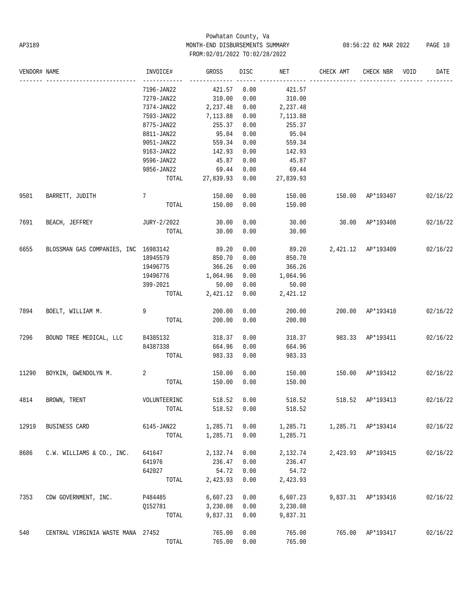# Powhatan County, Va AP3189 MONTH-END DISBURSEMENTS SUMMARY 08:56:22 02 MAR 2022 PAGE 10 FROM:02/01/2022 TO:02/28/2022

| VENDOR# NAME |                                      | INVOICE#     | GROSS     | DISC        | NET       | CHECK AMT           | CHECK NBR          | VOID | DATE     |
|--------------|--------------------------------------|--------------|-----------|-------------|-----------|---------------------|--------------------|------|----------|
|              |                                      | 7196-JAN22   | 421.57    | 0.00        | 421.57    |                     |                    |      |          |
|              |                                      | 7279-JAN22   | 310.00    | 0.00        | 310.00    |                     |                    |      |          |
|              |                                      | 7374-JAN22   | 2,237.48  | 0.00        | 2,237.48  |                     |                    |      |          |
|              |                                      | 7593-JAN22   | 7,113.88  | 0.00        | 7,113.88  |                     |                    |      |          |
|              |                                      | 8775-JAN22   | 255.37    | 0.00        | 255.37    |                     |                    |      |          |
|              |                                      | 8811-JAN22   | 95.04     | 0.00        | 95.04     |                     |                    |      |          |
|              |                                      | 9051-JAN22   | 559.34    | 0.00        | 559.34    |                     |                    |      |          |
|              |                                      | 9163-JAN22   | 142.93    | 0.00        | 142.93    |                     |                    |      |          |
|              |                                      | 9596-JAN22   | 45.87     | 0.00        | 45.87     |                     |                    |      |          |
|              |                                      | 9856-JAN22   | 69.44     | 0.00        | 69.44     |                     |                    |      |          |
|              |                                      | TOTAL        | 27,839.93 | 0.00        | 27,839.93 |                     |                    |      |          |
| 9501         | BARRETT, JUDITH                      | 7            | 150.00    | 0.00        | 150.00    | 150.00 AP*193407    |                    |      | 02/16/22 |
|              |                                      | TOTAL        | 150.00    | 0.00        | 150.00    |                     |                    |      |          |
| 7691         | BEACH, JEFFREY                       | JURY-2/2022  | 30.00     | 0.00        | 30.00     | $30.00$ $AP*193408$ |                    |      | 02/16/22 |
|              |                                      | TOTAL        | 30.00     | 0.00        | 30.00     |                     |                    |      |          |
| 6655         | BLOSSMAN GAS COMPANIES, INC 16983142 |              | 89.20     | 0.00        | 89.20     | 2,421.12 AP*193409  |                    |      | 02/16/22 |
|              |                                      | 18945579     | 850.70    | 0.00        | 850.70    |                     |                    |      |          |
|              |                                      | 19496775     | 366.26    | 0.00        | 366.26    |                     |                    |      |          |
|              |                                      | 19496776     | 1,064.96  | 0.00        | 1,064.96  |                     |                    |      |          |
|              |                                      | 399-2021     | 50.00     | 0.00        | 50.00     |                     |                    |      |          |
|              |                                      | TOTAL        | 2,421.12  | 0.00        | 2,421.12  |                     |                    |      |          |
| 7894         | BOELT, WILLIAM M.                    | 9            | 200.00    | 0.00        | 200.00    | 200.00 AP*193410    |                    |      | 02/16/22 |
|              |                                      | TOTAL        | 200.00    | 0.00        | 200.00    |                     |                    |      |          |
| 7296         | BOUND TREE MEDICAL, LLC              | 84385132     | 318.37    | 0.00        | 318.37    | 983.33 AP*193411    |                    |      | 02/16/22 |
|              |                                      | 84387338     | 664.96    | 0.00        | 664.96    |                     |                    |      |          |
|              |                                      | TOTAL        | 983.33    | 0.00        | 983.33    |                     |                    |      |          |
| 11290        | BOYKIN, GWENDOLYN M.                 | 2            | 150.00    | 0.00        | 150.00    | 150.00 AP*193412    |                    |      | 02/16/22 |
|              |                                      | TOTAL        | 150.00    | 0.00        | 150.00    |                     |                    |      |          |
| 4814         | BROWN, TRENT                         | VOLUNTEERINC | 518.52    | 0.00        | 518.52    |                     | 518.52 AP*193413   |      | 02/16/22 |
|              |                                      | TOTAL        |           | 518.52 0.00 | 518.52    |                     |                    |      |          |
| 12919        | BUSINESS CARD                        | 6145-JAN22   | 1,285.71  | 0.00        | 1,285.71  |                     | 1,285.71 AP*193414 |      | 02/16/22 |
|              |                                      | TOTAL        | 1,285.71  | 0.00        | 1,285.71  |                     |                    |      |          |
| 8686         | C.W. WILLIAMS & CO., INC.            | 641647       | 2,132.74  | 0.00        | 2,132.74  |                     | 2,423.93 AP*193415 |      | 02/16/22 |
|              |                                      | 641976       | 236.47    | 0.00        | 236.47    |                     |                    |      |          |
|              |                                      | 642027       | 54.72     | 0.00        | 54.72     |                     |                    |      |          |
|              |                                      | TOTAL        | 2,423.93  | 0.00        | 2,423.93  |                     |                    |      |          |
| 7353         | CDW GOVERNMENT, INC.                 | P484485      | 6,607.23  | 0.00        | 6,607.23  | 9,837.31            | AP*193416          |      | 02/16/22 |
|              |                                      | Q152781      | 3,230.08  | 0.00        | 3,230.08  |                     |                    |      |          |
|              |                                      | TOTAL        | 9,837.31  | 0.00        | 9,837.31  |                     |                    |      |          |
| 540          | CENTRAL VIRGINIA WASTE MANA 27452    |              | 765.00    | 0.00        | 765.00    | 765.00              | AP*193417          |      | 02/16/22 |
|              |                                      | TOTAL        | 765.00    | 0.00        | 765.00    |                     |                    |      |          |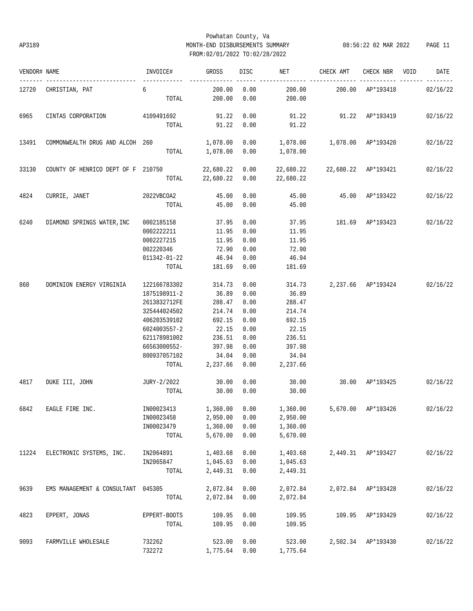## Powhatan County, Va AP3189 MONTH-END DISBURSEMENTS SUMMARY 08:56:22 02 MAR 2022 PAGE 11 FROM:02/01/2022 TO:02/28/2022

| VENDOR# NAME |                                    | INVOICE#                                                                                                                                              | GROSS                                                                                           | <b>DISC</b>                                                                  | NET                                                                                             | CHECK AMT                | CHECK NBR                   | VOID | DATE     |
|--------------|------------------------------------|-------------------------------------------------------------------------------------------------------------------------------------------------------|-------------------------------------------------------------------------------------------------|------------------------------------------------------------------------------|-------------------------------------------------------------------------------------------------|--------------------------|-----------------------------|------|----------|
|              | 12720 CHRISTIAN, PAT               | 6<br>TOTAL                                                                                                                                            | 200.00<br>200.00                                                                                | 0.00<br>0.00                                                                 | 200.00<br>200.00                                                                                |                          | 200.00 AP*193418            |      | 02/16/22 |
| 6965         | CINTAS CORPORATION 4109491692      | TOTAL                                                                                                                                                 | 91.22<br>91.22                                                                                  | 0.00<br>0.00                                                                 | 91.22<br>91.22                                                                                  | 91.22 AP*193419          |                             |      | 02/16/22 |
| 13491        | COMMONWEALTH DRUG AND ALCOH 260    |                                                                                                                                                       | TOTAL 1,078.00                                                                                  | 0.00                                                                         | 1,078.00  0.00  1,078.00<br>1,078.00                                                            | 1,078.00 AP*193420       |                             |      | 02/16/22 |
| 33130        | COUNTY OF HENRICO DEPT OF F 210750 |                                                                                                                                                       | 22,680.22 0.00<br>TOTAL 22,680.22 0.00                                                          |                                                                              | 22,680.22<br>22,680.22                                                                          | 22,680.22 AP*193421      |                             |      | 02/16/22 |
| 4824         | CURRIE, JANET                      | 2022VBCOA2<br>TOTAL                                                                                                                                   | 45.00<br>45.00                                                                                  | 0.00<br>0.00                                                                 | 45.00                                                                                           | 45.00  45.00  AP*193422  |                             |      | 02/16/22 |
| 6240         | DIAMOND SPRINGS WATER, INC         | 0002185158<br>0002222211<br>0002227215<br>002220346                                                                                                   | 37.95<br>11.95<br>11.95<br>72.90                                                                | 0.00<br>0.00<br>0.00<br>0.00                                                 | 11.95<br>11.95<br>72.90                                                                         | 37.95 181.69 AP*193423   |                             |      | 02/16/22 |
|              |                                    | 011342-01-22<br>TOTAL                                                                                                                                 | 46.94<br>181.69                                                                                 | 0.00<br>0.00                                                                 | 46.94<br>181.69                                                                                 |                          |                             |      |          |
| 860          | DOMINION ENERGY VIRGINIA           | 122166783302<br>1875198911-2<br>2613832712FE<br>325444024502<br>406203539102<br>6024003557-2<br>621178981002<br>66563000552-<br>800937057102<br>TOTAL | 314.73<br>36.89<br>288.47<br>214.74<br>692.15<br>22.15<br>236.51<br>397.98<br>34.04<br>2,237.66 | 0.00<br>0.00<br>0.00<br>0.00<br>0.00<br>0.00<br>0.00<br>0.00<br>0.00<br>0.00 | 314.73<br>36.89<br>288.47<br>214.74<br>692.15<br>22.15<br>236.51<br>397.98<br>34.04<br>2,237.66 |                          | 2,237.66 AP*193424 02/16/22 |      |          |
| 4817         | DUKE III, JOHN                     | JURY-2/2022<br>TOTAL                                                                                                                                  | 30.00<br>30.00                                                                                  | 0.00<br>0.00                                                                 | 30.00<br>30.00                                                                                  | 30.00 AP*193425 02/16/22 |                             |      |          |
| 6842         | EAGLE FIRE INC.                    | IN00023413<br>IN00023458<br>IN00023479<br>TOTAL                                                                                                       | 1,360.00 0.00<br>2,950.00<br>1,360.00<br>5,670.00                                               | 0.00<br>0.00<br>0.00                                                         | 1,360.00<br>2,950.00<br>1,360.00<br>5,670.00                                                    |                          | 5,670.00 AP*193426          |      | 02/16/22 |
| 11224        | ELECTRONIC SYSTEMS, INC.           | IN2064891<br>IN2065847<br>TOTAL                                                                                                                       | 1,403.68<br>1,045.63<br>2,449.31                                                                | 0.00<br>0.00<br>0.00                                                         | 1,403.68<br>1,045.63<br>2,449.31                                                                |                          | 2,449.31 AP*193427          |      | 02/16/22 |
| 9639         | EMS MANAGEMENT & CONSULTANT        | 045305<br>TOTAL                                                                                                                                       | 2,072.84<br>2,072.84                                                                            | 0.00<br>0.00                                                                 | 2,072.84<br>2,072.84                                                                            |                          | 2,072.84 AP*193428          |      | 02/16/22 |
| 4823         | EPPERT, JONAS                      | EPPERT-BOOTS<br>TOTAL                                                                                                                                 | 109.95<br>109.95                                                                                | 0.00<br>0.00                                                                 | 109.95<br>109.95                                                                                |                          | 109.95 AP*193429            |      | 02/16/22 |
| 9093         | FARMVILLE WHOLESALE                | 732262<br>732272                                                                                                                                      | 523.00<br>1,775.64                                                                              | 0.00<br>0.00                                                                 | 523.00<br>1,775.64                                                                              |                          | 2,502.34 AP*193430          |      | 02/16/22 |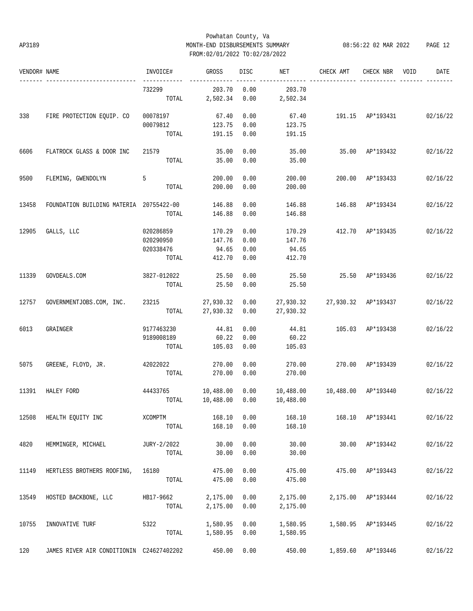## Powhatan County, Va AP3189 MONTH-END DISBURSEMENTS SUMMARY 08:56:22 02 MAR 2022 PAGE 12 FROM:02/01/2022 TO:02/28/2022

| VENDOR# NAME |                                          | INVOICE#    | GROSS           | DISC | NET       | CHECK AMT                         | CHECK NBR          | VOID | DATE     |
|--------------|------------------------------------------|-------------|-----------------|------|-----------|-----------------------------------|--------------------|------|----------|
|              |                                          | 732299      | 203.70          | 0.00 | 203.70    |                                   |                    |      |          |
|              |                                          | TOTAL       | 2,502.34        | 0.00 | 2,502.34  |                                   |                    |      |          |
| 338          | FIRE PROTECTION EQUIP. CO                | 00078197    | 67.40           | 0.00 | 67.40     | 191.15 AP*193431                  |                    |      | 02/16/22 |
|              |                                          | 00079812    | 123.75          | 0.00 | 123.75    |                                   |                    |      |          |
|              |                                          | TOTAL       | 191.15          | 0.00 | 191.15    |                                   |                    |      |          |
| 6606         | FLATROCK GLASS & DOOR INC                | 21579       | 35.00           | 0.00 | 35.00     |                                   | 35.00 AP*193432    |      | 02/16/22 |
|              |                                          | TOTAL       | 35.00           | 0.00 | 35.00     |                                   |                    |      |          |
| 9500         | FLEMING, GWENDOLYN                       | 5           | 200.00          | 0.00 | 200.00    |                                   | 200.00 AP*193433   |      | 02/16/22 |
|              |                                          | TOTAL       | 200.00          | 0.00 | 200.00    |                                   |                    |      |          |
| 13458        | FOUNDATION BUILDING MATERIA 20755422-00  |             | 146.88          | 0.00 | 146.88    | 146.88                            | AP*193434          |      | 02/16/22 |
|              |                                          | TOTAL       | 146.88          | 0.00 | 146.88    |                                   |                    |      |          |
| 12905        | GALLS, LLC                               | 020286859   | 170.29          | 0.00 | 170.29    |                                   | 412.70 AP*193435   |      | 02/16/22 |
|              |                                          | 020290950   | 147.76          | 0.00 | 147.76    |                                   |                    |      |          |
|              |                                          | 020338476   | 94.65           | 0.00 | 94.65     |                                   |                    |      |          |
|              |                                          | TOTAL       | 412.70          | 0.00 | 412.70    |                                   |                    |      |          |
| 11339        | GOVDEALS.COM                             | 3827-012022 | 25.50           | 0.00 | 25.50     | 25.50 AP*193436                   |                    |      | 02/16/22 |
|              |                                          | TOTAL       | 25.50           | 0.00 | 25.50     |                                   |                    |      |          |
| 12757        | GOVERNMENTJOBS.COM, INC.                 | 23215       | 27,930.32       | 0.00 | 27,930.32 | 27,930.32 AP*193437               |                    |      | 02/16/22 |
|              |                                          |             | TOTAL 27,930.32 | 0.00 | 27,930.32 |                                   |                    |      |          |
| 6013         | GRAINGER                                 | 9177463230  | 44.81           | 0.00 | 44.81     | 105.03 AP*193438                  |                    |      | 02/16/22 |
|              |                                          | 9189008189  | 60.22           | 0.00 | 60.22     |                                   |                    |      |          |
|              |                                          | TOTAL       | 105.03          | 0.00 | 105.03    |                                   |                    |      |          |
| 5075         | GREENE, FLOYD, JR.                       | 42022022    | 270.00          | 0.00 | 270.00    |                                   | 270.00 AP*193439   |      | 02/16/22 |
|              |                                          | TOTAL       | 270.00          | 0.00 | 270.00    |                                   |                    |      |          |
| 11391        | HALEY FORD                               | 44433765    | 10,488.00       | 0.00 |           | 10,488.00   10,488.00   AP*193440 |                    |      | 02/16/22 |
|              |                                          | TOTAL       | 10,488.00       | 0.00 | 10,488.00 |                                   |                    |      |          |
| 12508        | HEALTH EQUITY INC                        | XCOMPTM     | 168.10          | 0.00 | 168.10    |                                   | 168.10 AP*193441   |      | 02/16/22 |
|              |                                          | TOTAL       | 168.10          | 0.00 | 168.10    |                                   |                    |      |          |
| 4820         | HEMMINGER, MICHAEL                       | JURY-2/2022 | 30.00           | 0.00 | 30.00     |                                   | 30.00 AP*193442    |      | 02/16/22 |
|              |                                          | TOTAL       | 30.00           | 0.00 | 30.00     |                                   |                    |      |          |
| 11149        | HERTLESS BROTHERS ROOFING,               | 16180       | 475.00          | 0.00 | 475.00    |                                   | 475.00 AP*193443   |      | 02/16/22 |
|              |                                          | TOTAL       | 475.00          | 0.00 | 475.00    |                                   |                    |      |          |
| 13549        | HOSTED BACKBONE, LLC                     | HB17-9662   | 2,175.00        | 0.00 | 2,175.00  |                                   | 2,175.00 AP*193444 |      | 02/16/22 |
|              |                                          | TOTAL       | 2,175.00        | 0.00 | 2,175.00  |                                   |                    |      |          |
| 10755        | INNOVATIVE TURF                          | 5322        | 1,580.95        | 0.00 | 1,580.95  |                                   | 1,580.95 AP*193445 |      | 02/16/22 |
|              |                                          | TOTAL       | 1,580.95        | 0.00 | 1,580.95  |                                   |                    |      |          |
| 120          | JAMES RIVER AIR CONDITIONIN C24627402202 |             | 450.00          | 0.00 | 450.00    |                                   | 1,859.60 AP*193446 |      | 02/16/22 |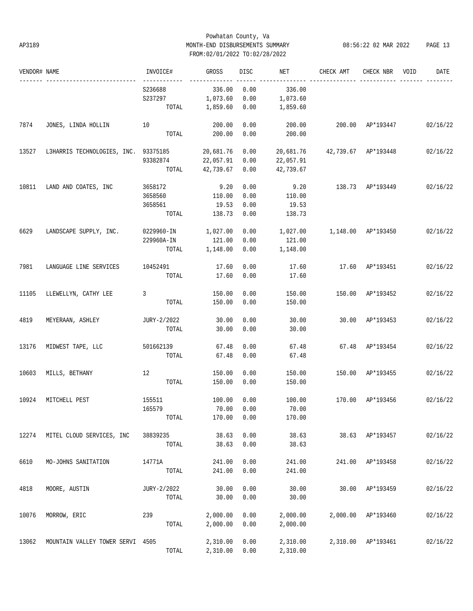## Powhatan County, Va AP3189 MONTH-END DISBURSEMENTS SUMMARY 08:56:22 02 MAR 2022 PAGE 13 FROM:02/01/2022 TO:02/28/2022

| VENDOR# NAME |                                      | INVOICE#                 | GROSS     | DISC       | NET       | CHECK AMT           | CHECK NBR          | VOID | DATE     |
|--------------|--------------------------------------|--------------------------|-----------|------------|-----------|---------------------|--------------------|------|----------|
|              | ________________________             | -------------<br>S236688 | 336.00    | 0.00       | 336.00    |                     |                    |      |          |
|              |                                      | S237297                  | 1,073.60  | 0.00       | 1,073.60  |                     |                    |      |          |
|              |                                      | TOTAL                    | 1,859.60  | 0.00       | 1,859.60  |                     |                    |      |          |
| 7874         | 10<br>JONES, LINDA HOLLIN            |                          | 200.00    | 0.00       | 200.00    | 200.00 AP*193447    |                    |      | 02/16/22 |
|              |                                      | TOTAL                    | 200.00    | 0.00       | 200.00    |                     |                    |      |          |
| 13527        | L3HARRIS TECHNOLOGIES, INC. 93375185 |                          | 20,681.76 | 0.00       | 20,681.76 | 42,739.67 AP*193448 |                    |      | 02/16/22 |
|              |                                      | 93382874                 | 22,057.91 | 0.00       | 22,057.91 |                     |                    |      |          |
|              |                                      | TOTAL                    | 42,739.67 | 0.00       | 42,739.67 |                     |                    |      |          |
| 10811        | LAND AND COATES, INC                 | 3658172                  | 9.20      | 0.00       | 9.20      |                     | 138.73 AP*193449   |      | 02/16/22 |
|              |                                      | 3658560                  | 110.00    | 0.00       | 110.00    |                     |                    |      |          |
|              |                                      | 3658561                  | 19.53     | 0.00       | 19.53     |                     |                    |      |          |
|              |                                      | TOTAL                    | 138.73    | 0.00       | 138.73    |                     |                    |      |          |
| 6629         | LANDSCAPE SUPPLY, INC.               | 0229960-IN               | 1,027.00  | 0.00       | 1,027.00  | 1,148.00 AP*193450  |                    |      | 02/16/22 |
|              |                                      | 229960A-IN               | 121.00    | 0.00       | 121.00    |                     |                    |      |          |
|              |                                      | TOTAL                    | 1,148.00  | 0.00       | 1,148.00  |                     |                    |      |          |
| 7981         | LANGUAGE LINE SERVICES               | 10452491                 | 17.60     | 0.00       | 17.60     |                     | 17.60 AP*193451    |      | 02/16/22 |
|              |                                      | TOTAL                    | 17.60     | 0.00       | 17.60     |                     |                    |      |          |
| 11105        | LLEWELLYN, CATHY LEE                 | 3                        | 150.00    | 0.00       | 150.00    |                     | 150.00 AP*193452   |      | 02/16/22 |
|              |                                      | TOTAL                    | 150.00    | 0.00       | 150.00    |                     |                    |      |          |
| 4819         | MEYERAAN, ASHLEY                     | JURY-2/2022              | 30.00     | 0.00       | 30.00     |                     | 30.00 AP*193453    |      | 02/16/22 |
|              |                                      | TOTAL                    | 30.00     | 0.00       | 30.00     |                     |                    |      |          |
| 13176        | MIDWEST TAPE, LLC                    | 501662139                | 67.48     | 0.00       | 67.48     |                     | 67.48 AP*193454    |      | 02/16/22 |
|              |                                      | TOTAL                    | 67.48     | 0.00       | 67.48     |                     |                    |      |          |
| 10603        | MILLS, BETHANY                       | 12                       | 150.00    | 0.00       | 150.00    |                     | 150.00 AP*193455   |      | 02/16/22 |
|              |                                      | TOTAL                    | 150.00    | 0.00       | 150.00    |                     |                    |      |          |
| 10924        | MITCHELL PEST                        | 155511                   | 100.00    | 0.00       | 100.00    | 170.00 AP*193456    |                    |      | 02/16/22 |
|              |                                      | 165579                   |           | 70.00 0.00 | 70.00     |                     |                    |      |          |
|              |                                      | TOTAL                    | 170.00    | 0.00       | 170.00    |                     |                    |      |          |
| 12274        | MITEL CLOUD SERVICES, INC            | 38839235                 | 38.63     | 0.00       | 38.63     |                     | 38.63 AP*193457    |      | 02/16/22 |
|              |                                      | TOTAL                    | 38.63     | 0.00       | 38.63     |                     |                    |      |          |
| 6610         | MO-JOHNS SANITATION                  | 14771A                   | 241.00    | 0.00       | 241.00    |                     | 241.00 AP*193458   |      | 02/16/22 |
|              |                                      | TOTAL                    | 241.00    | 0.00       | 241.00    |                     |                    |      |          |
| 4818         | MOORE, AUSTIN                        | JURY-2/2022              | 30.00     | 0.00       | 30.00     |                     | 30.00 AP*193459    |      | 02/16/22 |
|              |                                      | TOTAL                    | 30.00     | 0.00       | 30.00     |                     |                    |      |          |
| 10076        | MORROW, ERIC                         | 239                      | 2,000.00  | 0.00       | 2,000.00  |                     | 2,000.00 AP*193460 |      | 02/16/22 |
|              |                                      | TOTAL                    | 2,000.00  | 0.00       | 2,000.00  |                     |                    |      |          |
| 13062        | MOUNTAIN VALLEY TOWER SERVI 4505     |                          | 2,310.00  | 0.00       | 2,310.00  |                     | 2,310.00 AP*193461 |      | 02/16/22 |
|              |                                      | TOTAL                    | 2,310.00  | 0.00       | 2,310.00  |                     |                    |      |          |
|              |                                      |                          |           |            |           |                     |                    |      |          |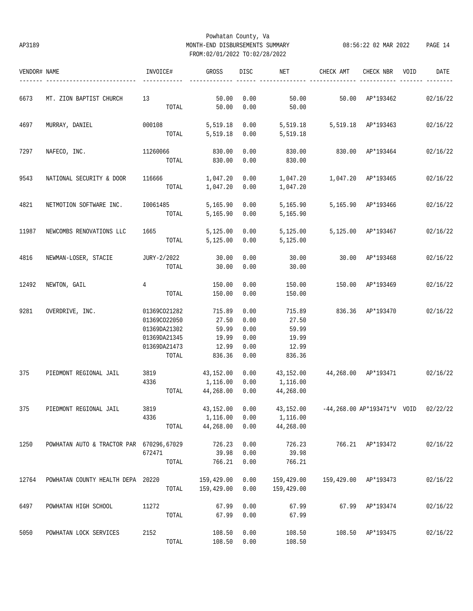## Powhatan County, Va AP3189 MONTH-END DISBURSEMENTS SUMMARY 08:56:22 02 MAR 2022 PAGE 14 FROM:02/01/2022 TO:02/28/2022

| VENDOR# NAME |                                          | INVOICE#       | GROSS          | DISC | NET        | CHECK AMT                                      | CHECK NBR            | VOID | DATE     |
|--------------|------------------------------------------|----------------|----------------|------|------------|------------------------------------------------|----------------------|------|----------|
| 6673         | MT. ZION BAPTIST CHURCH                  | 13             | 50.00          | 0.00 | 50.00      |                                                | 50.00 AP*193462      |      | 02/16/22 |
|              |                                          | TOTAL          | 50.00          | 0.00 | 50.00      |                                                |                      |      |          |
| 4697         | MURRAY, DANIEL                           | 000108         | 5,519.18       | 0.00 | 5,519.18   | 5,519.18 AP*193463                             |                      |      | 02/16/22 |
|              |                                          |                | TOTAL 5,519.18 | 0.00 | 5,519.18   |                                                |                      |      |          |
| 7297         | NAFECO, INC.                             | 11260066       | 830.00         | 0.00 | 830.00     |                                                | 830.00 AP*193464     |      | 02/16/22 |
|              |                                          | TOTAL          | 830.00         | 0.00 | 830.00     |                                                |                      |      |          |
| 9543         | NATIONAL SECURITY & DOOR                 | 116666         | 1,047.20       | 0.00 |            |                                                |                      |      | 02/16/22 |
|              |                                          | TOTAL          | 1,047.20       | 0.00 | 1,047.20   |                                                |                      |      |          |
| 4821         | NETMOTION SOFTWARE INC.                  | 10061485       | 5,165.90       | 0.00 | 5,165.90   |                                                | 5,165.90 AP*193466   |      | 02/16/22 |
|              |                                          | TOTAL          | 5,165.90       | 0.00 | 5,165.90   |                                                |                      |      |          |
| 11987        | NEWCOMBS RENOVATIONS LLC                 | 1665           | 5,125.00       | 0.00 | 5,125.00   |                                                | 5,125.00 AP*193467   |      | 02/16/22 |
|              |                                          | TOTAL          | 5,125.00       | 0.00 | 5,125.00   |                                                |                      |      |          |
| 4816         | NEWMAN-LOSER, STACIE                     | JURY-2/2022    | 30.00          | 0.00 | 30.00      |                                                | 30.00 AP*193468      |      | 02/16/22 |
|              |                                          | TOTAL          | 30.00          | 0.00 | 30.00      |                                                |                      |      |          |
| 12492        | NEWTON, GAIL                             | $\overline{4}$ | 150.00         | 0.00 | 150.00     |                                                | 150.00 AP*193469     |      | 02/16/22 |
|              |                                          | TOTAL          | 150.00         | 0.00 | 150.00     |                                                |                      |      |          |
| 9281         | OVERDRIVE, INC.                          | 01369CO21282   | 715.89         | 0.00 | 715.89     |                                                | 836.36 AP*193470     |      | 02/16/22 |
|              |                                          | 01369CO22050   | 27.50          | 0.00 | 27.50      |                                                |                      |      |          |
|              |                                          | 01369DA21302   | 59.99          | 0.00 | 59.99      |                                                |                      |      |          |
|              |                                          | 01369DA21345   | 19.99          | 0.00 | 19.99      |                                                |                      |      |          |
|              |                                          | 01369DA21473   | 12.99          | 0.00 | 12.99      |                                                |                      |      |          |
|              |                                          | TOTAL          | 836.36         | 0.00 | 836.36     |                                                |                      |      |          |
| 375          | PIEDMONT REGIONAL JAIL                   | 3819           | 43,152.00      | 0.00 | 43,152.00  |                                                | 44,268.00 AP*193471  |      | 02/16/22 |
|              |                                          | 4336           | 1,116.00       | 0.00 | 1,116.00   |                                                |                      |      |          |
|              |                                          | TOTAL          | 44,268.00      | 0.00 | 44,268.00  |                                                |                      |      |          |
| 375          | PIEDMONT REGIONAL JAIL 3819              |                | 43,152.00 0.00 |      |            | 43,152.00 -44,268.00 AP*193471*V VOID 02/22/22 |                      |      |          |
|              |                                          | 4336           | 1,116.00       | 0.00 | 1,116.00   |                                                |                      |      |          |
|              |                                          | TOTAL          | 44,268.00      | 0.00 | 44,268.00  |                                                |                      |      |          |
| 1250         | POWHATAN AUTO & TRACTOR PAR 670296,67029 |                | 726.23         | 0.00 | 726.23     |                                                | 766.21 AP*193472     |      | 02/16/22 |
|              |                                          | 672471         | 39.98          | 0.00 | 39.98      |                                                |                      |      |          |
|              |                                          | TOTAL          | 766.21         | 0.00 | 766.21     |                                                |                      |      |          |
| 12764        | POWHATAN COUNTY HEALTH DEPA 20220        |                | 159,429.00     | 0.00 | 159,429.00 |                                                | 159,429.00 AP*193473 |      | 02/16/22 |
|              |                                          | TOTAL          | 159,429.00     | 0.00 | 159,429.00 |                                                |                      |      |          |
| 6497         | POWHATAN HIGH SCHOOL                     | 11272          | 67.99          | 0.00 | 67.99      |                                                | 67.99 AP*193474      |      | 02/16/22 |
|              |                                          | TOTAL          | 67.99          | 0.00 | 67.99      |                                                |                      |      |          |
| 5050         | POWHATAN LOCK SERVICES                   | 2152           | 108.50         | 0.00 | 108.50     |                                                | 108.50 AP*193475     |      | 02/16/22 |
|              |                                          | TOTAL          | 108.50         | 0.00 | 108.50     |                                                |                      |      |          |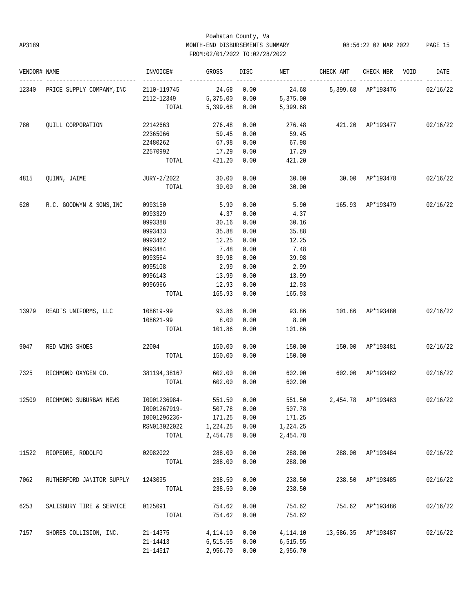## Powhatan County, Va AP3189 MONTH-END DISBURSEMENTS SUMMARY 08:56:22 02 MAR 2022 PAGE 15 FROM:02/01/2022 TO:02/28/2022

| VENDOR# NAME |                                 | INVOICE#                    | GROSS          | DISC | NET                               | CHECK AMT CHECK NBR VOID           |                     | DATE     |
|--------------|---------------------------------|-----------------------------|----------------|------|-----------------------------------|------------------------------------|---------------------|----------|
|              | 12340 PRICE SUPPLY COMPANY, INC | ------------<br>2110-119745 | 24.68          | 0.00 | 24.68 5,399.68 AP*193476 02/16/22 |                                    |                     |          |
|              |                                 | 2112-12349 5,375.00         |                | 0.00 | 5,375.00                          |                                    |                     |          |
|              |                                 |                             | TOTAL 5,399.68 | 0.00 | 5,399.68                          |                                    |                     |          |
| 780          | QUILL CORPORATION               | 22142663                    | 276.48         | 0.00 |                                   | 276.48 421.20 AP*193477 02/16/22   |                     |          |
|              |                                 | 22365066                    | 59.45          | 0.00 | 59.45                             |                                    |                     |          |
|              |                                 | 22480262                    | 67.98          | 0.00 | 67.98                             |                                    |                     |          |
|              |                                 | 22570992                    | 17.29          | 0.00 | 17.29                             |                                    |                     |          |
|              |                                 | TOTAL                       | 421.20         | 0.00 | 421.20                            |                                    |                     |          |
| 4815         | QUINN, JAIME                    | JURY-2/2022                 | 30.00          | 0.00 | 30.00                             | 30.00 AP*193478 02/16/22           |                     |          |
|              |                                 | TOTAL                       | 30.00          | 0.00 | 30.00                             |                                    |                     |          |
| 620          | R.C. GOODWYN & SONS, INC        | 0993150                     | 5.90           | 0.00 | 5.90                              | 165.93 AP*193479                   |                     | 02/16/22 |
|              |                                 | 0993329                     | 4.37           | 0.00 | 4.37                              |                                    |                     |          |
|              |                                 | 0993388                     | 30.16          | 0.00 | 30.16                             |                                    |                     |          |
|              |                                 | 0993433                     | 35.88          | 0.00 | 35.88                             |                                    |                     |          |
|              |                                 | 0993462                     | 12.25          | 0.00 | 12.25                             |                                    |                     |          |
|              |                                 | 0993484                     | 7.48           | 0.00 | 7.48                              |                                    |                     |          |
|              |                                 | 0993564                     | 39.98          | 0.00 | 39.98                             |                                    |                     |          |
|              |                                 | 0995108                     | 2.99           | 0.00 | 2.99                              |                                    |                     |          |
|              |                                 | 0996143                     | 13.99          | 0.00 | 13.99                             |                                    |                     |          |
|              |                                 | 0996966                     | 12.93          | 0.00 | 12.93                             |                                    |                     |          |
|              |                                 | TOTAL                       | 165.93         | 0.00 | 165.93                            |                                    |                     |          |
| 13979        | READ'S UNIFORMS, LLC            | 108619-99                   | 93.86          | 0.00 | 93.86                             | 101.86 AP*193480                   |                     | 02/16/22 |
|              |                                 | 108621-99                   | 8.00           | 0.00 | 8.00                              |                                    |                     |          |
|              |                                 | TOTAL                       | 101.86         | 0.00 | 101.86                            |                                    |                     |          |
| 9047         | RED WING SHOES                  | 22004                       | 150.00         | 0.00 | 150.00                            | 150.00 AP*193481                   |                     | 02/16/22 |
|              |                                 | TOTAL                       | 150.00         | 0.00 | 150.00                            |                                    |                     |          |
| 7325         | RICHMOND OXYGEN CO.             | 381194,38167                | 602.00         | 0.00 | 602.00                            | 602.00 AP*193482                   |                     | 02/16/22 |
|              |                                 | TOTAL                       | 602.00         | 0.00 | 602.00                            |                                    |                     |          |
| 12509        | RICHMOND SUBURBAN NEWS          | I0001236984-                | 551.50         | 0.00 |                                   | 551.50 2,454.78 AP*193483 02/16/22 |                     |          |
|              |                                 | 10001267919- 507.78 0.00    |                |      | 507.78                            |                                    |                     |          |
|              |                                 | I0001296236-                | 171.25         | 0.00 | 171.25                            |                                    |                     |          |
|              |                                 | RSN013022022                | 1,224.25       | 0.00 | 1,224.25                          |                                    |                     |          |
|              |                                 | TOTAL                       | 2,454.78       | 0.00 | 2,454.78                          |                                    |                     |          |
| 11522        | RIOPEDRE, RODOLFO               | 02082022                    | 288.00         | 0.00 | 288.00                            |                                    | 288.00 AP*193484    | 02/16/22 |
|              |                                 | TOTAL                       | 288.00         | 0.00 | 288.00                            |                                    |                     |          |
| 7062         | RUTHERFORD JANITOR SUPPLY       | 1243095                     | 238.50         | 0.00 | 238.50                            |                                    | 238.50 AP*193485    | 02/16/22 |
|              |                                 | TOTAL                       | 238.50         | 0.00 | 238.50                            |                                    |                     |          |
| 6253         | SALISBURY TIRE & SERVICE        | 0125091                     | 754.62         | 0.00 | 754.62                            |                                    | 754.62 AP*193486    | 02/16/22 |
|              |                                 | TOTAL                       | 754.62         | 0.00 | 754.62                            |                                    |                     |          |
| 7157         | SHORES COLLISION, INC.          | 21-14375                    | 4,114.10       | 0.00 | 4,114.10                          |                                    | 13,586.35 AP*193487 | 02/16/22 |
|              |                                 | 21-14413                    | 6,515.55       | 0.00 | 6, 515.55                         |                                    |                     |          |
|              |                                 | 21-14517                    | 2,956.70       | 0.00 | 2,956.70                          |                                    |                     |          |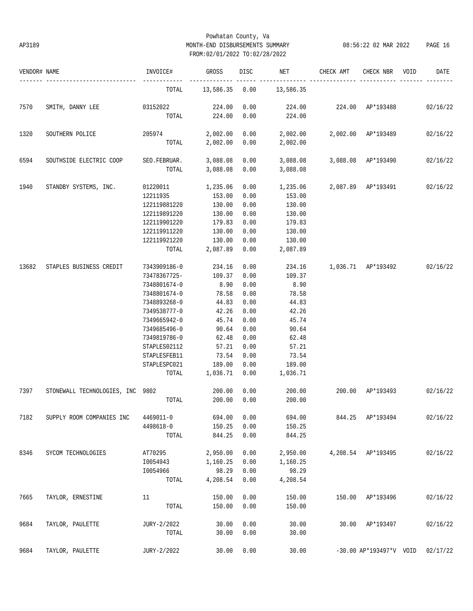## Powhatan County, Va AP3189 MONTH-END DISBURSEMENTS SUMMARY 08:56:22 02 MAR 2022 PAGE 16 FROM:02/01/2022 TO:02/28/2022

| VENDOR# NAME |                                         | INVOICE#        | GROSS         | DISC <sub>2</sub> | NET                                               | CHECK AMT                           | CHECK NBR               | VOID | DATE     |
|--------------|-----------------------------------------|-----------------|---------------|-------------------|---------------------------------------------------|-------------------------------------|-------------------------|------|----------|
|              |                                         | TOTAL           |               |                   | 13,586.35 0.00 13,586.35                          |                                     |                         |      |          |
| 7570         | SMITH, DANNY LEE 03152022               |                 | 224.00        | 0.00              |                                                   | 224.00  224.00  AP*193488  02/16/22 |                         |      |          |
|              |                                         | TOTAL           | 224.00        | 0.00              | 224.00                                            |                                     |                         |      |          |
| 1320         | SOUTHERN POLICE                         | 205974          |               |                   | $2,002.00$ 0.00 $2,002.00$ $2,002.00$ $AP*193489$ |                                     |                         |      | 02/16/22 |
|              |                                         | TOTAL           | 2,002.00 0.00 |                   | 2,002.00                                          |                                     |                         |      |          |
| 6594         | SOUTHSIDE ELECTRIC COOP                 | SEO.FEBRUAR.    | 3,088.08      | 0.00              | 3,088.08                                          |                                     | 3,088.08 AP*193490      |      | 02/16/22 |
|              |                                         | TOTAL           | 3,088.08 0.00 |                   | 3,088.08                                          |                                     |                         |      |          |
| 1940         | STANDBY SYSTEMS, INC.                   | 01220011        | 1,235.06      | 0.00              |                                                   |                                     |                         |      | 02/16/22 |
|              |                                         | 12211935 153.00 |               | 0.00              | 153.00                                            |                                     |                         |      |          |
|              |                                         | 122119881220    | 130.00        | 0.00              | 130.00                                            |                                     |                         |      |          |
|              |                                         | 122119891220    | 130.00        | 0.00              | 130.00                                            |                                     |                         |      |          |
|              |                                         | 122119901220    | 179.83        | 0.00              | 179.83                                            |                                     |                         |      |          |
|              |                                         | 122119911220    | 130.00        | 0.00              | 130.00                                            |                                     |                         |      |          |
|              |                                         | 122119921220    | 130.00        | 0.00              | 130.00                                            |                                     |                         |      |          |
|              |                                         | TOTAL           | 2,087.89      | 0.00              | 2,087.89                                          |                                     |                         |      |          |
| 13682        | STAPLES BUSINESS CREDIT                 | 7343909186-0    | 234.16        | 0.00              |                                                   | 234.16 1,036.71 AP*193492           |                         |      | 02/16/22 |
|              |                                         | 73478367725-    | 109.37        | 0.00              | 109.37                                            |                                     |                         |      |          |
|              |                                         | 7348801674-0    | 8.90          | 0.00              | 8.90                                              |                                     |                         |      |          |
|              |                                         | 7348801674-0    | 78.58         | 0.00              | 78.58                                             |                                     |                         |      |          |
|              |                                         | 7348893268-0    | 44.83         | 0.00              | 44.83                                             |                                     |                         |      |          |
|              |                                         | 7349538777-0    | 42.26         | 0.00              | 42.26                                             |                                     |                         |      |          |
|              |                                         | 7349665942-0    | 45.74         | 0.00              | 45.74                                             |                                     |                         |      |          |
|              |                                         | 7349685496-0    | 90.64         | 0.00              | 90.64                                             |                                     |                         |      |          |
|              |                                         | 7349819786-0    | 62.48         | 0.00              | 62.48                                             |                                     |                         |      |          |
|              |                                         | STAPLES02112    | 57.21         | 0.00              | 57.21                                             |                                     |                         |      |          |
|              |                                         | STAPLESFEB11    | 73.54         | 0.00              | 73.54                                             |                                     |                         |      |          |
|              |                                         | STAPLESPC021    | 189.00        | 0.00              | 189.00                                            |                                     |                         |      |          |
|              |                                         | TOTAL           | 1,036.71 0.00 |                   | 1,036.71                                          |                                     |                         |      |          |
| 7397         | STONEWALL TECHNOLOGIES, INC 9802 200.00 |                 |               | 0.00              | 200.00                                            | 200.00 AP*193493                    |                         |      | 02/16/22 |
|              |                                         | TOTAL           | 200.00        | 0.00              | 200.00                                            |                                     |                         |      |          |
| 7182         | SUPPLY ROOM COMPANIES INC               | 4469011-0       | 694.00        | 0.00              | 694.00                                            |                                     | 844.25 AP*193494        |      | 02/16/22 |
|              |                                         | 4498618-0       | 150.25        | 0.00              | 150.25                                            |                                     |                         |      |          |
|              |                                         | TOTAL           | 844.25        | 0.00              | 844.25                                            |                                     |                         |      |          |
| 8346         | SYCOM TECHNOLOGIES                      | AT70295         | 2,950.00      | 0.00              | 2,950.00                                          |                                     | 4,208.54 AP*193495      |      | 02/16/22 |
|              |                                         | I0054943        | 1,160.25      | 0.00              | 1,160.25                                          |                                     |                         |      |          |
|              |                                         | I0054966        | 98.29         | 0.00              | 98.29                                             |                                     |                         |      |          |
|              |                                         | TOTAL           | 4,208.54      | 0.00              | 4,208.54                                          |                                     |                         |      |          |
| 7665         | TAYLOR, ERNESTINE                       | 11              | 150.00        | 0.00              | 150.00                                            | 150.00                              | AP*193496               |      | 02/16/22 |
|              |                                         | TOTAL           | 150.00        | 0.00              | 150.00                                            |                                     |                         |      |          |
| 9684         | TAYLOR, PAULETTE                        | JURY-2/2022     | 30.00         | 0.00              | 30.00                                             | 30.00                               | AP*193497               |      | 02/16/22 |
|              |                                         | TOTAL           | 30.00         | 0.00              | 30.00                                             |                                     |                         |      |          |
| 9684         | TAYLOR, PAULETTE                        | JURY-2/2022     | 30.00         | 0.00              | 30.00                                             |                                     | -30.00 AP*193497*V VOID |      | 02/17/22 |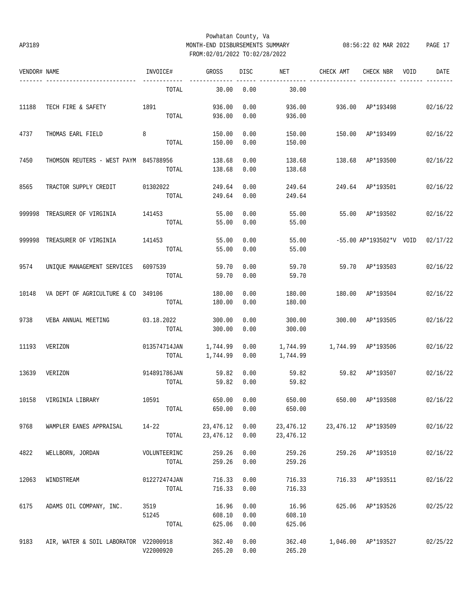## Powhatan County, Va AP3189 MONTH-END DISBURSEMENTS SUMMARY 08:56:22 02 MAR 2022 PAGE 17 FROM:02/01/2022 TO:02/28/2022

| VENDOR# NAME |                                       | INVOICE#     | <b>GROSS</b> | <b>DISC</b> | NET        | CHECK AMT | CHECK NBR               | VOID | DATE     |
|--------------|---------------------------------------|--------------|--------------|-------------|------------|-----------|-------------------------|------|----------|
|              |                                       | TOTAL        | 30.00        | 0.00        | 30.00      |           |                         |      |          |
| 11188        | TECH FIRE & SAFETY                    | 1891         | 936.00       | 0.00        | 936.00     | 936.00    | AP*193498               |      | 02/16/22 |
|              |                                       | TOTAL        | 936.00       | 0.00        | 936.00     |           |                         |      |          |
| 4737         | THOMAS EARL FIELD                     | 8            | 150.00       | 0.00        | 150.00     | 150.00    | AP*193499               |      | 02/16/22 |
|              |                                       | TOTAL        | 150.00       | 0.00        | 150.00     |           |                         |      |          |
| 7450         | THOMSON REUTERS - WEST PAYM 845788956 |              | 138.68       | 0.00        | 138.68     | 138.68    | AP*193500               |      | 02/16/22 |
|              |                                       | TOTAL        | 138.68       | 0.00        | 138.68     |           |                         |      |          |
| 8565         | TRACTOR SUPPLY CREDIT                 | 01302022     | 249.64       | 0.00        | 249.64     | 249.64    | AP*193501               |      | 02/16/22 |
|              |                                       | TOTAL        | 249.64       | 0.00        | 249.64     |           |                         |      |          |
| 999998       | TREASURER OF VIRGINIA                 | 141453       | 55.00        | 0.00        | 55.00      | 55.00     | AP*193502               |      | 02/16/22 |
|              |                                       | TOTAL        | 55.00        | 0.00        | 55.00      |           |                         |      |          |
| 999998       | TREASURER OF VIRGINIA                 | 141453       | 55.00        | 0.00        | 55.00      |           | -55.00 AP*193502*V VOID |      | 02/17/22 |
|              |                                       | TOTAL        | 55.00        | 0.00        | 55.00      |           |                         |      |          |
| 9574         | UNIQUE MANAGEMENT SERVICES            | 6097539      | 59.70        | 0.00        | 59.70      | 59.70     | AP*193503               |      | 02/16/22 |
|              |                                       | TOTAL        | 59.70        | 0.00        | 59.70      |           |                         |      |          |
| 10148        | VA DEPT OF AGRICULTURE & CO 349106    |              | 180.00       | 0.00        | 180.00     | 180.00    | AP*193504               |      | 02/16/22 |
|              |                                       | TOTAL        | 180.00       | 0.00        | 180.00     |           |                         |      |          |
| 9738         | VEBA ANNUAL MEETING                   | 03.18.2022   | 300.00       | 0.00        | 300.00     | 300.00    | AP*193505               |      | 02/16/22 |
|              |                                       | TOTAL        | 300.00       | 0.00        | 300.00     |           |                         |      |          |
| 11193        | VERIZON                               | 013574714JAN | 1,744.99     | 0.00        | 1,744.99   | 1,744.99  | AP*193506               |      | 02/16/22 |
|              |                                       | TOTAL        | 1,744.99     | 0.00        | 1,744.99   |           |                         |      |          |
| 13639        | VERIZON                               | 914891786JAN | 59.82        | 0.00        | 59.82      | 59.82     | AP*193507               |      | 02/16/22 |
|              |                                       | TOTAL        | 59.82        | 0.00        | 59.82      |           |                         |      |          |
| 10158        | VIRGINIA LIBRARY                      | 10591        | 650.00       | 0.00        | 650.00     | 650.00    | AP*193508               |      | 02/16/22 |
|              |                                       | TOTAL        | 650.00       | 0.00        | 650.00     |           |                         |      |          |
| 9768         | WAMPLER EANES APPRAISAL               | $14 - 22$    | 23, 476.12   | 0.00        | 23,476.12  |           | 23,476.12 AP*193509     |      | 02/16/22 |
|              |                                       | TOTAL        | 23, 476.12   | 0.00        | 23, 476.12 |           |                         |      |          |
| 4822         | WELLBORN, JORDAN                      | VOLUNTEERINC | 259.26       | 0.00        | 259.26     | 259.26    | AP*193510               |      | 02/16/22 |
|              |                                       | TOTAL        | 259.26       | 0.00        | 259.26     |           |                         |      |          |
| 12063        | WINDSTREAM                            | 012272474JAN | 716.33       | 0.00        | 716.33     | 716.33    | AP*193511               |      | 02/16/22 |
|              |                                       | TOTAL        | 716.33       | 0.00        | 716.33     |           |                         |      |          |
| 6175         | ADAMS OIL COMPANY, INC.               | 3519         | 16.96        | 0.00        | 16.96      | 625.06    | AP*193526               |      | 02/25/22 |
|              |                                       | 51245        | 608.10       | 0.00        | 608.10     |           |                         |      |          |
|              |                                       | TOTAL        | 625.06       | 0.00        | 625.06     |           |                         |      |          |
| 9183         | AIR, WATER & SOIL LABORATOR V22000918 |              | 362.40       | 0.00        | 362.40     | 1,046.00  | AP*193527               |      | 02/25/22 |
|              |                                       | V22000920    | 265.20       | 0.00        | 265.20     |           |                         |      |          |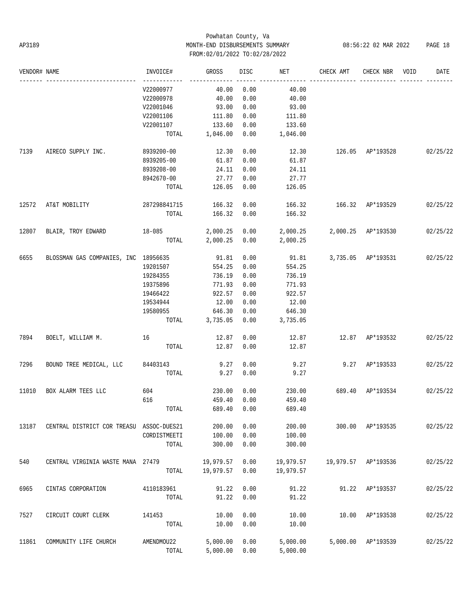## Powhatan County, Va AP3189 MONTH-END DISBURSEMENTS SUMMARY 08:56:22 02 MAR 2022 PAGE 18 FROM:02/01/2022 TO:02/28/2022

| VENDOR# NAME |                                          | INVOICE#        | GROSS                    | DISC | NET                         | CHECK AMT                 | CHECK NBR                     | VOID | DATE     |
|--------------|------------------------------------------|-----------------|--------------------------|------|-----------------------------|---------------------------|-------------------------------|------|----------|
|              |                                          | V22000977       | 40.00                    | 0.00 | 40.00                       |                           |                               |      |          |
|              |                                          | V22000978       | 40.00                    | 0.00 | 40.00                       |                           |                               |      |          |
|              |                                          | V22001046       | 93.00                    | 0.00 | 93.00                       |                           |                               |      |          |
|              |                                          | V22001106       | 111.80                   | 0.00 | 111.80                      |                           |                               |      |          |
|              |                                          | V22001107       | 133.60                   | 0.00 | 133.60                      |                           |                               |      |          |
|              |                                          |                 | TOTAL 1,046.00           | 0.00 | 1,046.00                    |                           |                               |      |          |
| 7139         | AIRECO SUPPLY INC.                       | 8939200-00      | 12.30                    | 0.00 | 12.30                       | 126.05 AP*193528 02/25/22 |                               |      |          |
|              |                                          | 8939205-00      | 61.87                    | 0.00 | 61.87                       |                           |                               |      |          |
|              |                                          | 8939208-00      | 24.11                    | 0.00 | 24.11                       |                           |                               |      |          |
|              |                                          | 8942670-00      | 27.77                    | 0.00 | 27.77                       |                           |                               |      |          |
|              |                                          | TOTAL           | 126.05                   | 0.00 | 126.05                      |                           |                               |      |          |
| 12572        | AT&T MOBILITY                            | 287298841715    | 166.32                   | 0.00 | 166.32                      | 166.32 AP*193529          |                               |      | 02/25/22 |
|              |                                          | TOTAL           | 166.32                   | 0.00 | 166.32                      |                           |                               |      |          |
| 12807        | BLAIR, TROY EDWARD 18-085                |                 | 2,000.25 0.00            |      | 2,000.25 2,000.25 AP*193530 |                           |                               |      | 02/25/22 |
|              |                                          | TOTAL           | 2,000.25 0.00            |      | 2,000.25                    |                           |                               |      |          |
| 6655         | BLOSSMAN GAS COMPANIES, INC 18956635     |                 | 91.81                    | 0.00 | 91.81                       |                           | 3,735.05 AP*193531 02/25/22   |      |          |
|              |                                          | 19201507        | 554.25                   | 0.00 | 554.25                      |                           |                               |      |          |
|              |                                          | 19284355        | 736.19                   | 0.00 | 736.19                      |                           |                               |      |          |
|              |                                          | 19375896        | 771.93                   | 0.00 | 771.93                      |                           |                               |      |          |
|              |                                          | 19466422        | 922.57                   | 0.00 | 922.57                      |                           |                               |      |          |
|              |                                          | 19534944        | 12.00                    | 0.00 | 12.00                       |                           |                               |      |          |
|              |                                          | 19580955 646.30 |                          | 0.00 | 646.30                      |                           |                               |      |          |
|              |                                          |                 | TOTAL 3,735.05           | 0.00 | 3,735.05                    |                           |                               |      |          |
| 7894         | BOELT, WILLIAM M. 16                     |                 | 12.87                    | 0.00 | 12.87                       | 12.87 AP*193532           |                               |      | 02/25/22 |
|              |                                          | TOTAL           | 12.87                    | 0.00 | 12.87                       |                           |                               |      |          |
| 7296         | BOUND TREE MEDICAL, LLC 84403143         |                 | 9.27                     | 0.00 | 9.27                        |                           | $9.27 \quad \text{AP*193533}$ |      | 02/25/22 |
|              |                                          | TOTAL           | 9.27                     | 0.00 | 9.27                        |                           |                               |      |          |
| 11010        | 604<br>BOX ALARM TEES LLC                |                 | 230.00                   | 0.00 | 230.00                      | 689.40 AP*193534          |                               |      | 02/25/22 |
|              |                                          | 616             | 459.40                   | 0.00 | 459.40                      |                           |                               |      |          |
|              |                                          |                 | TOTAL 689.40 0.00 689.40 |      |                             |                           |                               |      |          |
| 13187        | CENTRAL DISTRICT COR TREASU ASSOC-DUES21 |                 | 200.00                   | 0.00 | 200.00                      | 300.00                    | AP*193535                     |      | 02/25/22 |
|              |                                          | CORDISTMEETI    | 100.00                   | 0.00 | 100.00                      |                           |                               |      |          |
|              |                                          | TOTAL           | 300.00                   | 0.00 | 300.00                      |                           |                               |      |          |
| 540          | CENTRAL VIRGINIA WASTE MANA 27479        |                 | 19,979.57                | 0.00 | 19,979.57                   | 19,979.57                 | AP*193536                     |      | 02/25/22 |
|              |                                          | TOTAL           | 19,979.57                | 0.00 | 19,979.57                   |                           |                               |      |          |
| 6965         | CINTAS CORPORATION                       | 4110183961      | 91.22                    | 0.00 | 91.22                       | 91.22                     | AP*193537                     |      | 02/25/22 |
|              |                                          | TOTAL           | 91.22                    | 0.00 | 91.22                       |                           |                               |      |          |
| 7527         | CIRCUIT COURT CLERK                      | 141453          | 10.00                    | 0.00 | 10.00                       | 10.00                     | AP*193538                     |      | 02/25/22 |
|              |                                          | TOTAL           | 10.00                    | 0.00 | 10.00                       |                           |                               |      |          |
| 11861        | COMMUNITY LIFE CHURCH                    | AMENDMOU22      | 5,000.00                 | 0.00 | 5,000.00                    | 5,000.00                  | AP*193539                     |      | 02/25/22 |
|              |                                          | TOTAL           | 5,000.00                 | 0.00 | 5,000.00                    |                           |                               |      |          |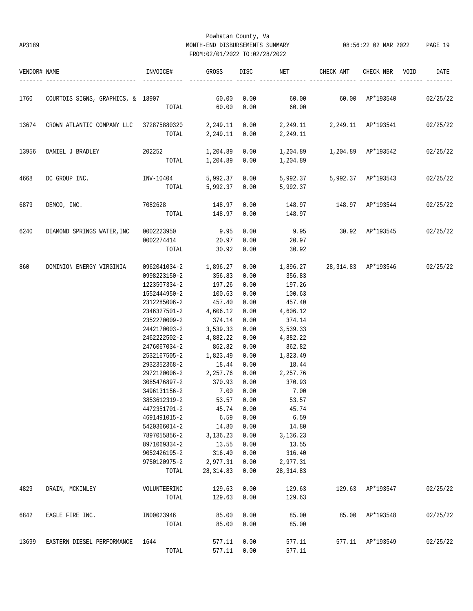# Powhatan County, Va AP3189 MONTH-END DISBURSEMENTS SUMMARY 08:56:22 02 MAR 2022 PAGE 19 FROM:02/01/2022 TO:02/28/2022

| VENDOR# NAME |                                                                                            | INVOICE#                                                                     | GROSS            |      | DISC NET                       | CHECK AMT | CHECK NBR VOID   | DATE     |
|--------------|--------------------------------------------------------------------------------------------|------------------------------------------------------------------------------|------------------|------|--------------------------------|-----------|------------------|----------|
| 1760         | COURTOIS SIGNS, GRAPHICS, & 18907 60.00 6.00 60.00 60.00 60.00 60.00 AP*193540 02/25/22    |                                                                              |                  |      |                                |           |                  |          |
|              |                                                                                            |                                                                              |                  |      | TOTAL 60.00 0.00 60.00         |           |                  |          |
| 13674        | CROWN ATLANTIC COMPANY LLC 372875880320 2,249.11 0.00 2,249.11 2,249.11 AP*193541 02/25/22 |                                                                              |                  |      |                                |           |                  |          |
|              |                                                                                            |                                                                              |                  |      | TOTAL 2, 249.11 0.00 2, 249.11 |           |                  |          |
| 13956        |                                                                                            |                                                                              |                  |      |                                |           |                  |          |
|              |                                                                                            |                                                                              |                  |      | TOTAL 1,204.89 0.00 1,204.89   |           |                  |          |
| 4668         |                                                                                            |                                                                              |                  |      |                                |           |                  |          |
|              |                                                                                            | TOTAL                                                                        |                  |      | 5,992.37  0.00  5,992.37       |           |                  |          |
| 6879         | DEMCO, INC.                                                                                | $7082628$ $148.97$ $0.00$ $148.97$ $148.97$ $\mathbb{A}P^*193544$ $02/25/22$ |                  |      |                                |           |                  |          |
|              |                                                                                            | TOTAL 148.97 0.00 148.97                                                     |                  |      |                                |           |                  |          |
| 6240         | DIAMOND SPRINGS WATER, INC 0002223950 9.95 0.00                                            |                                                                              |                  |      |                                |           |                  |          |
|              |                                                                                            | 0002274414 20.97 0.00                                                        |                  |      | 20.97                          |           |                  |          |
|              |                                                                                            |                                                                              | TOTAL 30.92 0.00 |      | 30.92                          |           |                  |          |
| 860          | DOMINION ENERGY VIRGINIA                                                                   | $0.062041034 - 2$ 1,896.27 0.00 1,896.27 28,314.83 AP*193546 02/25/22        |                  |      |                                |           |                  |          |
|              |                                                                                            | 0998223150-2                                                                 | 356.83 0.00      |      | 356.83                         |           |                  |          |
|              |                                                                                            | 1223507334-2                                                                 | 197.26           | 0.00 | 197.26                         |           |                  |          |
|              |                                                                                            | 1552444950-2                                                                 | 100.63 0.00      |      | 100.63                         |           |                  |          |
|              |                                                                                            | 2312285006-2                                                                 | 457.40 0.00      |      | 457.40                         |           |                  |          |
|              |                                                                                            | 2346327501-2 4,606.12 0.00                                                   |                  |      | 4,606.12                       |           |                  |          |
|              |                                                                                            | 2352270009-2 374.14 0.00                                                     |                  |      | 374.14                         |           |                  |          |
|              |                                                                                            | 2442170003-2 3,539.33 0.00                                                   |                  |      | 3,539.33                       |           |                  |          |
|              |                                                                                            | 2462222502-2 4,882.22 0.00                                                   |                  |      | 4,882.22                       |           |                  |          |
|              |                                                                                            | 2476067034-2                                                                 | 862.82 0.00      |      | 862.82                         |           |                  |          |
|              |                                                                                            | 2532167505-2 1,823.49                                                        |                  | 0.00 | 1,823.49                       |           |                  |          |
|              |                                                                                            | 2932352368-2                                                                 | 18.44 0.00       |      | 18.44                          |           |                  |          |
|              |                                                                                            | $2972120006 - 2$ 2, $257.76$ 0.00                                            |                  |      | 2,257.76                       |           |                  |          |
|              |                                                                                            | 3085476897-2                                                                 | 370.93 0.00      |      | 370.93                         |           |                  |          |
|              |                                                                                            | 3496131156-2                                                                 | 7.00             | 0.00 | 7.00                           |           |                  |          |
|              |                                                                                            | 3853612319-2                                                                 | 53.57 0.00       |      | 53.57                          |           |                  |          |
|              |                                                                                            | 4472351701-2 45.74 0.00                                                      |                  |      | 45.74                          |           |                  |          |
|              |                                                                                            | 4691491015-2                                                                 | 6.59             | 0.00 | 6.59                           |           |                  |          |
|              |                                                                                            | 5420366014-2                                                                 | 14.80            | 0.00 | 14.80                          |           |                  |          |
|              |                                                                                            | 7897055856-2                                                                 | 3,136.23         | 0.00 | 3,136.23                       |           |                  |          |
|              |                                                                                            | 8971069334-2                                                                 | 13.55            | 0.00 | 13.55                          |           |                  |          |
|              |                                                                                            | 9052426195-2                                                                 | 316.40           | 0.00 | 316.40                         |           |                  |          |
|              |                                                                                            | 9750120975-2                                                                 | 2,977.31         | 0.00 | 2,977.31                       |           |                  |          |
|              |                                                                                            | TOTAL                                                                        | 28, 314.83       | 0.00 | 28, 314.83                     |           |                  |          |
| 4829         | DRAIN, MCKINLEY                                                                            | VOLUNTEERINC                                                                 | 129.63           | 0.00 | 129.63                         |           | 129.63 AP*193547 | 02/25/22 |
|              |                                                                                            | TOTAL                                                                        | 129.63           | 0.00 | 129.63                         |           |                  |          |
| 6842         | EAGLE FIRE INC.                                                                            | IN00023946                                                                   | 85.00            | 0.00 | 85.00                          |           | 85.00 AP*193548  | 02/25/22 |
|              |                                                                                            | TOTAL                                                                        | 85.00            | 0.00 | 85.00                          |           |                  |          |
| 13699        | EASTERN DIESEL PERFORMANCE                                                                 | 1644                                                                         | 577.11           | 0.00 | 577.11                         |           | 577.11 AP*193549 | 02/25/22 |
|              |                                                                                            | TOTAL                                                                        | 577.11           | 0.00 | 577.11                         |           |                  |          |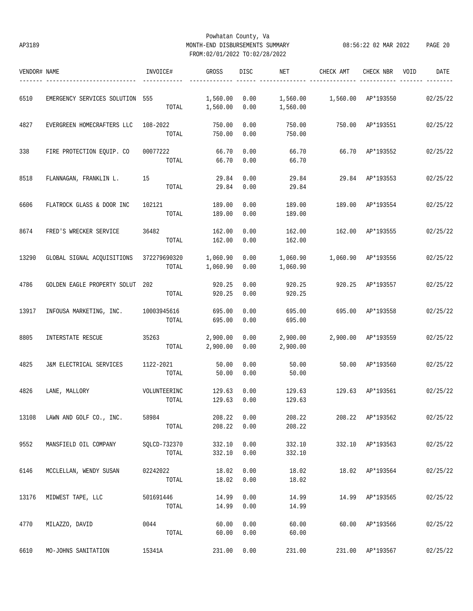## Powhatan County, Va AP3189 MONTH-END DISBURSEMENTS SUMMARY 08:56:22 02 MAR 2022 PAGE 20 FROM:02/01/2022 TO:02/28/2022

| VENDOR# NAME |                                         | INVOICE#     | GROSS          | DISC | NET      | CHECK AMT                         | CHECK NBR        | VOID | DATE     |
|--------------|-----------------------------------------|--------------|----------------|------|----------|-----------------------------------|------------------|------|----------|
| 6510         | EMERGENCY SERVICES SOLUTION 555         |              | 1,560.00       | 0.00 |          | 1,560.00    1,560.00    AP*193550 |                  |      | 02/25/22 |
|              |                                         |              | TOTAL 1,560.00 | 0.00 | 1,560.00 |                                   |                  |      |          |
| 4827         | EVERGREEN HOMECRAFTERS LLC 108-2022     |              | 750.00         | 0.00 | 750.00   |                                   | 750.00 AP*193551 |      | 02/25/22 |
|              |                                         | TOTAL        | 750.00         | 0.00 | 750.00   |                                   |                  |      |          |
| 338          | FIRE PROTECTION EOUIP. CO               | 00077222     | 66.70          | 0.00 | 66.70    | 66.70 AP*193552                   |                  |      | 02/25/22 |
|              |                                         | TOTAL        | 66.70          | 0.00 | 66.70    |                                   |                  |      |          |
| 8518         | FLANNAGAN, FRANKLIN L.                  | 15           | 29.84          | 0.00 | 29.84    |                                   | 29.84 AP*193553  |      | 02/25/22 |
|              |                                         | TOTAL        | 29.84          | 0.00 | 29.84    |                                   |                  |      |          |
| 6606         | FLATROCK GLASS & DOOR INC               | 102121       | 189.00         | 0.00 | 189.00   | 189.00 AP*193554                  |                  |      | 02/25/22 |
|              |                                         | TOTAL        | 189.00         | 0.00 | 189.00   |                                   |                  |      |          |
| 8674         | FRED'S WRECKER SERVICE                  | 36482        | 162.00         | 0.00 | 162.00   | 162.00 AP*193555                  |                  |      | 02/25/22 |
|              |                                         | TOTAL        | 162.00         | 0.00 | 162.00   |                                   |                  |      |          |
| 13290        | GLOBAL SIGNAL ACOUISITIONS 372279690320 |              | 1,060.90       | 0.00 | 1,060.90 | 1,060.90 AP*193556                |                  |      | 02/25/22 |
|              |                                         | TOTAL        | 1,060.90       | 0.00 | 1,060.90 |                                   |                  |      |          |
| 4786         | GOLDEN EAGLE PROPERTY SOLUT 202         |              | 920.25         | 0.00 | 920.25   |                                   | 920.25 AP*193557 |      | 02/25/22 |
|              |                                         | TOTAL        | 920.25         | 0.00 | 920.25   |                                   |                  |      |          |
| 13917        | INFOUSA MARKETING, INC.                 | 10003945616  | 695.00         | 0.00 | 695.00   |                                   | 695.00 AP*193558 |      | 02/25/22 |
|              |                                         | TOTAL        | 695.00         | 0.00 | 695.00   |                                   |                  |      |          |
| 8805         | INTERSTATE RESCUE                       | 35263        | 2,900.00       | 0.00 | 2,900.00 | 2,900.00 AP*193559                |                  |      | 02/25/22 |
|              |                                         |              | TOTAL 2,900.00 | 0.00 | 2,900.00 |                                   |                  |      |          |
| 4825         | J&M ELECTRICAL SERVICES                 | 1122-2021    | 50.00          | 0.00 | 50.00    |                                   | 50.00 AP*193560  |      | 02/25/22 |
|              |                                         | TOTAL        | 50.00          | 0.00 | 50.00    |                                   |                  |      |          |
| 4826         | LANE, MALLORY                           | VOLUNTEERINC | 129.63         | 0.00 | 129.63   | 129.63                            | AP*193561        |      | 02/25/22 |
|              |                                         | TOTAL        | 129.63         | 0.00 | 129.63   |                                   |                  |      |          |
| 13108        | LAWN AND GOLF CO., INC.                 | 58984        | 208.22         | 0.00 | 208.22   |                                   | 208.22 AP*193562 |      | 02/25/22 |
|              |                                         | TOTAL        | 208.22         | 0.00 | 208.22   |                                   |                  |      |          |
| 9552         | MANSFIELD OIL COMPANY                   | SQLCD-732370 | 332.10         | 0.00 | 332.10   |                                   | 332.10 AP*193563 |      | 02/25/22 |
|              |                                         | TOTAL        | 332.10         | 0.00 | 332.10   |                                   |                  |      |          |
| 6146         | MCCLELLAN, WENDY SUSAN                  | 02242022     | 18.02          | 0.00 | 18.02    |                                   | 18.02 AP*193564  |      | 02/25/22 |
|              |                                         | TOTAL        | 18.02          | 0.00 | 18.02    |                                   |                  |      |          |
| 13176        | MIDWEST TAPE, LLC                       | 501691446    | 14.99          | 0.00 | 14.99    |                                   | 14.99 AP*193565  |      | 02/25/22 |
|              |                                         | TOTAL        | 14.99          | 0.00 | 14.99    |                                   |                  |      |          |
| 4770         | MILAZZO, DAVID                          | 0044         | 60.00          | 0.00 | 60.00    |                                   | 60.00 AP*193566  |      | 02/25/22 |
|              |                                         | TOTAL        | 60.00          | 0.00 | 60.00    |                                   |                  |      |          |
| 6610         | MO-JOHNS SANITATION                     | 15341A       | 231.00         | 0.00 | 231.00   |                                   | 231.00 AP*193567 |      | 02/25/22 |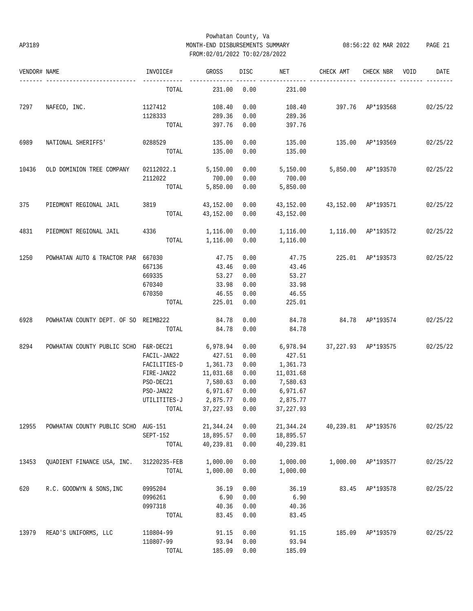## Powhatan County, Va AP3189 MONTH-END DISBURSEMENTS SUMMARY 08:56:22 02 MAR 2022 PAGE 21 FROM:02/01/2022 TO:02/28/2022

| VENDOR# NAME |                                       | INVOICE#              | GROSS          | DISC | NET                             | CHECK AMT                       | CHECK NBR          | VOID | DATE     |
|--------------|---------------------------------------|-----------------------|----------------|------|---------------------------------|---------------------------------|--------------------|------|----------|
|              | ---------------------                 | TOTAL                 | 231.00         | 0.00 | 231.00                          |                                 |                    |      |          |
| 7297         | NAFECO, INC.                          | 1127412               | 108.40         | 0.00 | 108.40                          | 397.76 AP*193568 02/25/22       |                    |      |          |
|              |                                       | 1128333               | 289.36         | 0.00 | 289.36                          |                                 |                    |      |          |
|              |                                       | TOTAL                 | 397.76         | 0.00 | 397.76                          |                                 |                    |      |          |
| 6989         | NATIONAL SHERIFFS'                    | 0288529               | 135.00         | 0.00 | 135.00                          | 135.00 AP*193569                |                    |      | 02/25/22 |
|              |                                       | TOTAL                 | 135.00         | 0.00 | 135.00                          |                                 |                    |      |          |
| 10436        | OLD DOMINION TREE COMPANY             | 02112022.1            | 5,150.00       | 0.00 | 5,150.00                        |                                 | 5,850.00 AP*193570 |      | 02/25/22 |
|              |                                       | 2112022               | 700.00         | 0.00 | 700.00                          |                                 |                    |      |          |
|              |                                       | TOTAL                 | 5,850.00       | 0.00 | 5,850.00                        |                                 |                    |      |          |
| 375          | PIEDMONT REGIONAL JAIL                | 3819 43,152.00        |                | 0.00 |                                 | 43,152.00  43,152.00  AP*193571 |                    |      | 02/25/22 |
|              |                                       | TOTAL                 | 43,152.00      | 0.00 | 43,152.00                       |                                 |                    |      |          |
| 4831         | PIEDMONT REGIONAL JAIL                | 4336                  | 1,116.00       | 0.00 | 1,116.00   1,116.00   AP*193572 |                                 |                    |      | 02/25/22 |
|              |                                       |                       | TOTAL 1,116.00 | 0.00 | 1,116.00                        |                                 |                    |      |          |
| 1250         | POWHATAN AUTO & TRACTOR PAR 667030    |                       | 47.75          | 0.00 | 47.75                           |                                 | 225.01 AP*193573   |      | 02/25/22 |
|              |                                       | 667136                | 43.46          | 0.00 | 43.46                           |                                 |                    |      |          |
|              |                                       | 669335                | 53.27          | 0.00 | 53.27                           |                                 |                    |      |          |
|              |                                       | 670340                | 33.98          | 0.00 | 33.98                           |                                 |                    |      |          |
|              |                                       | 670350                | 46.55          | 0.00 | 46.55                           |                                 |                    |      |          |
|              |                                       | TOTAL                 | 225.01         | 0.00 | 225.01                          |                                 |                    |      |          |
| 6928         | POWHATAN COUNTY DEPT. OF SO REIMB222  |                       | 84.78          | 0.00 | 84.78                           | 84.78 AP*193574                 |                    |      | 02/25/22 |
|              |                                       | TOTAL                 | 84.78          | 0.00 | 84.78                           |                                 |                    |      |          |
| 8294         | POWHATAN COUNTY PUBLIC SCHO F&R-DEC21 |                       | 6,978.94       | 0.00 | 6,978.94                        | 37,227.93 AP*193575             |                    |      | 02/25/22 |
|              |                                       | FACIL-JAN22           | 427.51         | 0.00 | 427.51                          |                                 |                    |      |          |
|              |                                       | FACILITIES-D          | 1,361.73       | 0.00 | 1,361.73                        |                                 |                    |      |          |
|              |                                       | FIRE-JAN22            | 11,031.68      | 0.00 | 11,031.68                       |                                 |                    |      |          |
|              |                                       | PSO-DEC21             | 7,580.63       | 0.00 | 7,580.63                        |                                 |                    |      |          |
|              |                                       | PSO-JAN22             | 6,971.67       | 0.00 | 6,971.67                        |                                 |                    |      |          |
|              |                                       | UTILITITES-J 2,875.77 |                | 0.00 | 2,875.77                        |                                 |                    |      |          |
|              |                                       |                       |                |      |                                 |                                 |                    |      |          |
| 12955        | POWHATAN COUNTY PUBLIC SCHO AUG-151   |                       | 21,344.24      | 0.00 | 21,344.24                       | 40,239.81                       | AP*193576          |      | 02/25/22 |
|              |                                       | SEPT-152              | 18,895.57      | 0.00 | 18,895.57                       |                                 |                    |      |          |
|              |                                       | TOTAL                 | 40,239.81      | 0.00 | 40,239.81                       |                                 |                    |      |          |
| 13453        | QUADIENT FINANCE USA, INC.            | 31220235-FEB          | 1,000.00       | 0.00 | 1,000.00                        | 1,000.00                        | AP*193577          |      | 02/25/22 |
|              |                                       | TOTAL                 | 1,000.00       | 0.00 | 1,000.00                        |                                 |                    |      |          |
| 620          | R.C. GOODWYN & SONS, INC              | 0995204               | 36.19          | 0.00 | 36.19                           | 83.45                           | AP*193578          |      | 02/25/22 |
|              |                                       | 0996261               | 6.90           | 0.00 | 6.90                            |                                 |                    |      |          |
|              |                                       | 0997318               | 40.36          | 0.00 | 40.36                           |                                 |                    |      |          |
|              |                                       | TOTAL                 | 83.45          | 0.00 | 83.45                           |                                 |                    |      |          |
| 13979        | READ'S UNIFORMS, LLC                  | 110804-99             | 91.15          | 0.00 | 91.15                           | 185.09                          | AP*193579          |      | 02/25/22 |
|              |                                       | 110807-99             | 93.94          | 0.00 | 93.94                           |                                 |                    |      |          |
|              |                                       | TOTAL                 | 185.09         | 0.00 | 185.09                          |                                 |                    |      |          |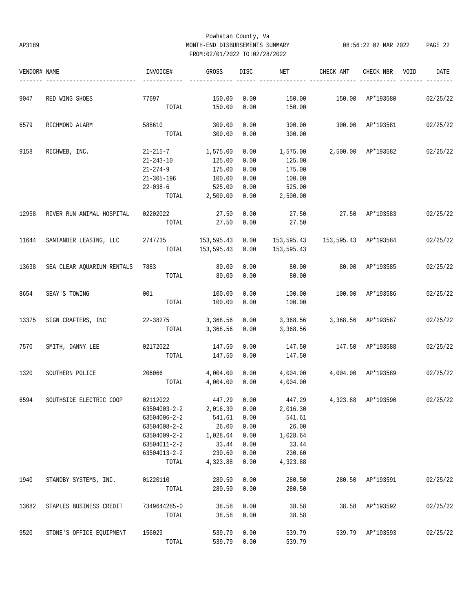## Powhatan County, Va AP3189 MONTH-END DISBURSEMENTS SUMMARY 08:56:22 02 MAR 2022 PAGE 22 FROM:02/01/2022 TO:02/28/2022

| VENDOR# NAME | ----------------------          | INVOICE#                | GROSS                 | DISC | NET                                       | CHECK AMT            | CHECK NBR VOID   | DATE     |
|--------------|---------------------------------|-------------------------|-----------------------|------|-------------------------------------------|----------------------|------------------|----------|
| 9047         | RED WING SHOES                  | 77697                   | 150.00                | 0.00 | 150.00                                    | 150.00 AP*193580     |                  | 02/25/22 |
|              |                                 | TOTAL                   | 150.00                | 0.00 | 150.00                                    |                      |                  |          |
| 6579         | RICHMOND ALARM                  | 588610                  | 300.00                | 0.00 | 300.00                                    | 300.00 AP*193581     |                  | 02/25/22 |
|              |                                 |                         | TOTAL 300.00          | 0.00 | 300.00                                    |                      |                  |          |
| 9158         | RICHWEB, INC.                   | 21-215-7 1,575.00       |                       | 0.00 | 1,575.00                                  | 2,500.00 AP*193582   |                  | 02/25/22 |
|              |                                 | 21-243-10               | 125.00                | 0.00 | 125.00                                    |                      |                  |          |
|              |                                 | 21-274-9                | 175.00                | 0.00 | 175.00                                    |                      |                  |          |
|              |                                 | $21 - 305 - 196$        | 100.00                | 0.00 | 100.00                                    |                      |                  |          |
|              |                                 | $22 - 038 - 6$          | 525.00                | 0.00 | 525.00                                    |                      |                  |          |
|              |                                 |                         | TOTAL 2,500.00        | 0.00 | 2,500.00                                  |                      |                  |          |
| 12958        | RIVER RUN ANIMAL HOSPITAL       | 02202022 27.50          |                       | 0.00 | 27.50                                     | 27.50 AP*193583      |                  | 02/25/22 |
|              |                                 | TOTAL                   | 27.50                 | 0.00 | 27.50                                     |                      |                  |          |
| 11644        | SANTANDER LEASING, LLC          | 2747735 153,595.43 0.00 |                       |      | 153,595.43                                | 153,595.43 AP*193584 |                  | 02/25/22 |
|              |                                 |                         | TOTAL 153,595.43 0.00 |      | 153,595.43                                |                      |                  |          |
| 13638        | SEA CLEAR AQUARIUM RENTALS 7883 |                         | 80.00                 | 0.00 | 80.00                                     | 80.00 AP*193585      |                  | 02/25/22 |
|              |                                 | TOTAL                   | 80.00                 | 0.00 | 80.00                                     |                      |                  |          |
| 8654         | SEAY'S TOWING                   | 001                     | 100.00                | 0.00 | 100.00                                    | 100.00 AP*193586     |                  | 02/25/22 |
|              |                                 | TOTAL                   | 100.00                | 0.00 | 100.00                                    |                      |                  |          |
| 13375        | SIGN CRAFTERS, INC              | 22-38275                | 3,368.56              |      | $0.00$ 3,368.56                           | 3,368.56 AP*193587   |                  | 02/25/22 |
|              |                                 |                         | TOTAL 3,368.56        | 0.00 | 3,368.56                                  |                      |                  |          |
| 7570         | SMITH, DANNY LEE                | 02172022                | 147.50                | 0.00 | 147.50                                    | 147.50 AP*193588     |                  | 02/25/22 |
|              |                                 | TOTAL                   | 147.50                | 0.00 | 147.50                                    |                      |                  |          |
| 1320         | SOUTHERN POLICE                 | 206066 700              | 4,004.00              | 0.00 | $4,004.00$ $4,004.00$ $AP*193589$         |                      |                  | 02/25/22 |
|              |                                 | TOTAL                   | 4,004.00              | 0.00 | 4,004.00                                  |                      |                  |          |
| 6594         | SOUTHSIDE ELECTRIC COOP         | 02112022                | 447.29                | 0.00 | 447.29 4,323.88 AP*193590                 |                      |                  | 02/25/22 |
|              |                                 |                         |                       |      | $63504003 - 2 - 2$ 2,016.30 0.00 2,016.30 |                      |                  |          |
|              |                                 | 63504006-2-2            | 541.61                | 0.00 | 541.61                                    |                      |                  |          |
|              |                                 | 63504008-2-2            | 26.00                 | 0.00 | 26.00                                     |                      |                  |          |
|              |                                 | 63504009-2-2            | 1,028.64              | 0.00 | 1,028.64                                  |                      |                  |          |
|              |                                 | 63504011-2-2            | 33.44                 | 0.00 | 33.44                                     |                      |                  |          |
|              |                                 | 63504013-2-2            | 230.60                | 0.00 | 230.60                                    |                      |                  |          |
|              |                                 | TOTAL                   | 4,323.88              | 0.00 | 4,323.88                                  |                      |                  |          |
| 1940         | STANDBY SYSTEMS, INC.           | 01220110                | 280.50                | 0.00 | 280.50                                    |                      | 280.50 AP*193591 | 02/25/22 |
|              |                                 | TOTAL                   | 280.50                | 0.00 | 280.50                                    |                      |                  |          |
| 13682        | STAPLES BUSINESS CREDIT         | 7349644285-0            | 38.58                 | 0.00 | 38.58                                     |                      | 38.58 AP*193592  | 02/25/22 |
|              |                                 | TOTAL                   | 38.58                 | 0.00 | 38.58                                     |                      |                  |          |
| 9520         | STONE'S OFFICE EQUIPMENT        | 156029                  | 539.79                | 0.00 | 539.79                                    |                      | 539.79 AP*193593 | 02/25/22 |
|              |                                 | TOTAL                   | 539.79 0.00           |      | 539.79                                    |                      |                  |          |